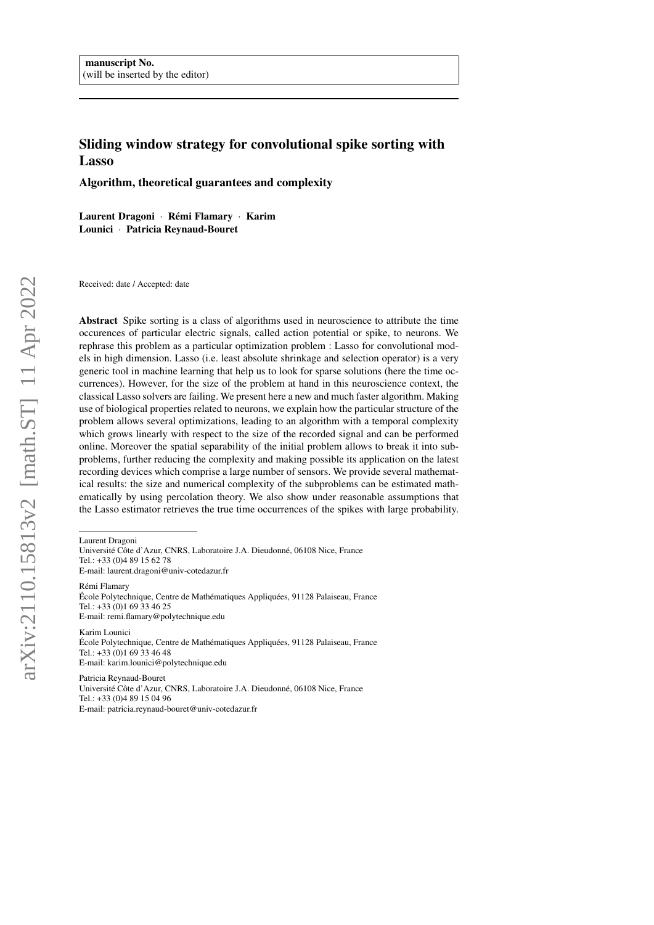# Sliding window strategy for convolutional spike sorting with Lasso

Algorithm, theoretical guarantees and complexity

Laurent Dragoni · Rémi Flamary · Karim Lounici · Patricia Reynaud-Bouret

Received: date / Accepted: date

Abstract Spike sorting is a class of algorithms used in neuroscience to attribute the time occurences of particular electric signals, called action potential or spike, to neurons. We rephrase this problem as a particular optimization problem : Lasso for convolutional models in high dimension. Lasso (i.e. least absolute shrinkage and selection operator) is a very generic tool in machine learning that help us to look for sparse solutions (here the time occurrences). However, for the size of the problem at hand in this neuroscience context, the classical Lasso solvers are failing. We present here a new and much faster algorithm. Making use of biological properties related to neurons, we explain how the particular structure of the problem allows several optimizations, leading to an algorithm with a temporal complexity which grows linearly with respect to the size of the recorded signal and can be performed online. Moreover the spatial separability of the initial problem allows to break it into subproblems, further reducing the complexity and making possible its application on the latest recording devices which comprise a large number of sensors. We provide several mathematical results: the size and numerical complexity of the subproblems can be estimated mathematically by using percolation theory. We also show under reasonable assumptions that the Lasso estimator retrieves the true time occurrences of the spikes with large probability.

Laurent Dragoni

Université Côte d'Azur, CNRS, Laboratoire J.A. Dieudonné, 06108 Nice, France Tel.: +33 (0)4 89 15 62 78 E-mail: laurent.dragoni@univ-cotedazur.fr

Rémi Flamary École Polytechnique, Centre de Mathématiques Appliquées, 91128 Palaiseau, France Tel.: +33 (0)1 69 33 46 25 E-mail: remi.flamary@polytechnique.edu

Karim Lounici École Polytechnique, Centre de Mathématiques Appliquées, 91128 Palaiseau, France Tel.: +33 (0)1 69 33 46 48 E-mail: karim.lounici@polytechnique.edu

Patricia Reynaud-Bouret Université Côte d'Azur, CNRS, Laboratoire J.A. Dieudonné, 06108 Nice, France Tel.: +33 (0)4 89 15 04 96 E-mail: patricia.reynaud-bouret@univ-cotedazur.fr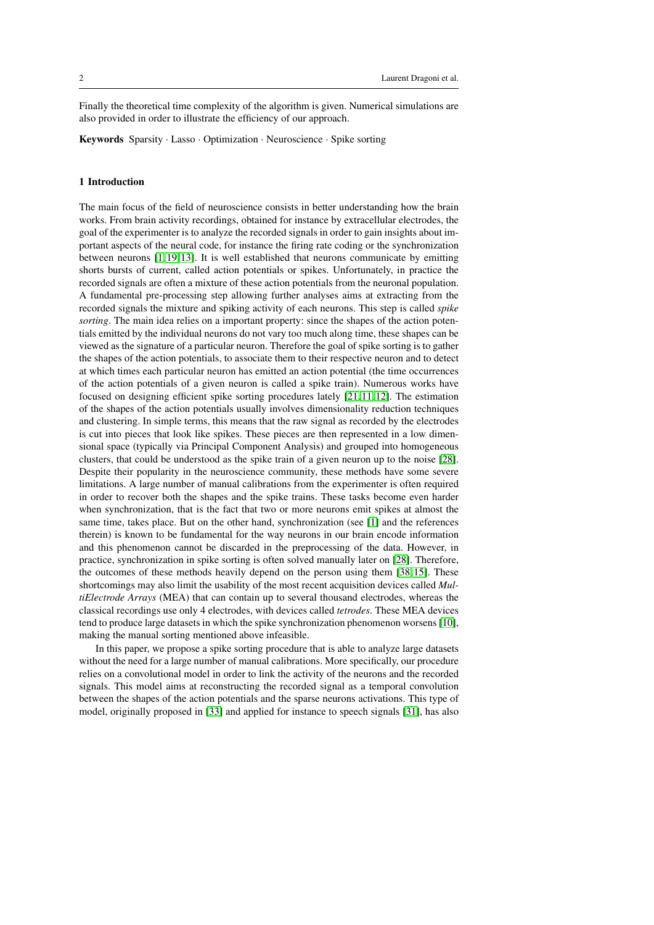Finally the theoretical time complexity of the algorithm is given. Numerical simulations are also provided in order to illustrate the efficiency of our approach.

Keywords Sparsity · Lasso · Optimization · Neuroscience · Spike sorting

# 1 Introduction

The main focus of the field of neuroscience consists in better understanding how the brain works. From brain activity recordings, obtained for instance by extracellular electrodes, the goal of the experimenter is to analyze the recorded signals in order to gain insights about important aspects of the neural code, for instance the firing rate coding or the synchronization between neurons [\[1,](#page-29-0) [19,](#page-30-0) [13\]](#page-30-1). It is well established that neurons communicate by emitting shorts bursts of current, called action potentials or spikes. Unfortunately, in practice the recorded signals are often a mixture of these action potentials from the neuronal population. A fundamental pre-processing step allowing further analyses aims at extracting from the recorded signals the mixture and spiking activity of each neurons. This step is called *spike sorting*. The main idea relies on a important property: since the shapes of the action potentials emitted by the individual neurons do not vary too much along time, these shapes can be viewed as the signature of a particular neuron. Therefore the goal of spike sorting is to gather the shapes of the action potentials, to associate them to their respective neuron and to detect at which times each particular neuron has emitted an action potential (the time occurrences of the action potentials of a given neuron is called a spike train). Numerous works have focused on designing efficient spike sorting procedures lately [\[21,](#page-30-2) [11,](#page-30-3) [12\]](#page-30-4). The estimation of the shapes of the action potentials usually involves dimensionality reduction techniques and clustering. In simple terms, this means that the raw signal as recorded by the electrodes is cut into pieces that look like spikes. These pieces are then represented in a low dimensional space (typically via Principal Component Analysis) and grouped into homogeneous clusters, that could be understood as the spike train of a given neuron up to the noise [\[28\]](#page-30-5). Despite their popularity in the neuroscience community, these methods have some severe limitations. A large number of manual calibrations from the experimenter is often required in order to recover both the shapes and the spike trains. These tasks become even harder when synchronization, that is the fact that two or more neurons emit spikes at almost the same time, takes place. But on the other hand, synchronization (see [\[1\]](#page-29-0) and the references therein) is known to be fundamental for the way neurons in our brain encode information and this phenomenon cannot be discarded in the preprocessing of the data. However, in practice, synchronization in spike sorting is often solved manually later on [\[28\]](#page-30-5). Therefore, the outcomes of these methods heavily depend on the person using them [\[38,](#page-31-0) [15\]](#page-30-6). These shortcomings may also limit the usability of the most recent acquisition devices called *MultiElectrode Arrays* (MEA) that can contain up to several thousand electrodes, whereas the classical recordings use only 4 electrodes, with devices called *tetrodes*. These MEA devices tend to produce large datasets in which the spike synchronization phenomenon worsens [\[10\]](#page-29-1), making the manual sorting mentioned above infeasible.

In this paper, we propose a spike sorting procedure that is able to analyze large datasets without the need for a large number of manual calibrations. More specifically, our procedure relies on a convolutional model in order to link the activity of the neurons and the recorded signals. This model aims at reconstructing the recorded signal as a temporal convolution between the shapes of the action potentials and the sparse neurons activations. This type of model, originally proposed in [\[33\]](#page-30-7) and applied for instance to speech signals [\[31\]](#page-30-8), has also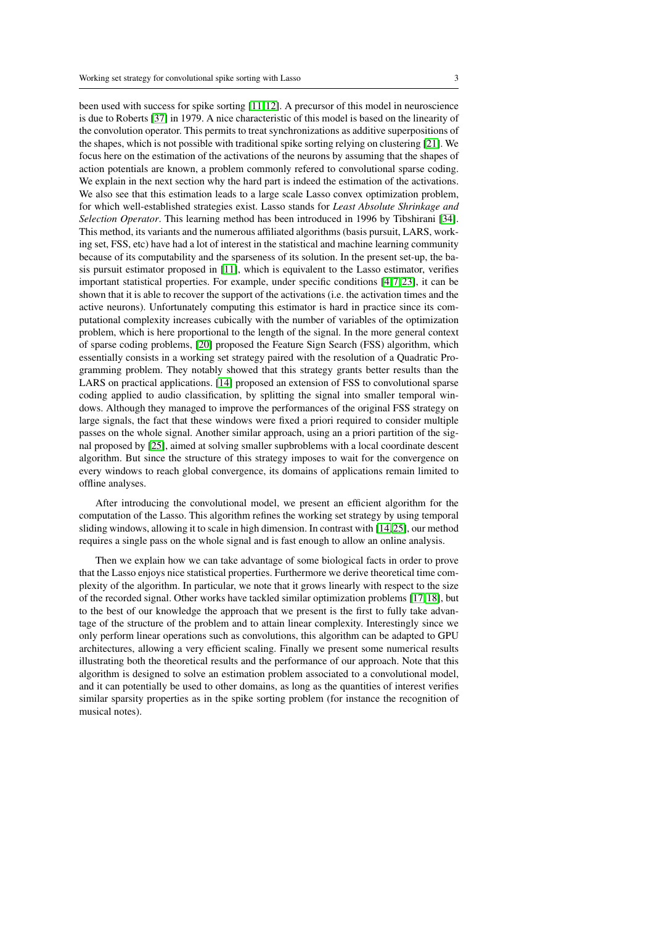been used with success for spike sorting [\[11,](#page-30-3) [12\]](#page-30-4). A precursor of this model in neuroscience is due to Roberts [\[37\]](#page-31-1) in 1979. A nice characteristic of this model is based on the linearity of the convolution operator. This permits to treat synchronizations as additive superpositions of the shapes, which is not possible with traditional spike sorting relying on clustering [\[21\]](#page-30-2). We focus here on the estimation of the activations of the neurons by assuming that the shapes of action potentials are known, a problem commonly refered to convolutional sparse coding. We explain in the next section why the hard part is indeed the estimation of the activations. We also see that this estimation leads to a large scale Lasso convex optimization problem, for which well-established strategies exist. Lasso stands for *Least Absolute Shrinkage and Selection Operator*. This learning method has been introduced in 1996 by Tibshirani [\[34\]](#page-30-9). This method, its variants and the numerous affiliated algorithms (basis pursuit, LARS, working set, FSS, etc) have had a lot of interest in the statistical and machine learning community because of its computability and the sparseness of its solution. In the present set-up, the basis pursuit estimator proposed in [\[11\]](#page-30-3), which is equivalent to the Lasso estimator, verifies important statistical properties. For example, under specific conditions  $[4, 7, 23]$  $[4, 7, 23]$  $[4, 7, 23]$ , it can be shown that it is able to recover the support of the activations (i.e. the activation times and the active neurons). Unfortunately computing this estimator is hard in practice since its computational complexity increases cubically with the number of variables of the optimization problem, which is here proportional to the length of the signal. In the more general context of sparse coding problems, [\[20\]](#page-30-11) proposed the Feature Sign Search (FSS) algorithm, which essentially consists in a working set strategy paired with the resolution of a Quadratic Programming problem. They notably showed that this strategy grants better results than the LARS on practical applications. [\[14\]](#page-30-12) proposed an extension of FSS to convolutional sparse coding applied to audio classification, by splitting the signal into smaller temporal windows. Although they managed to improve the performances of the original FSS strategy on large signals, the fact that these windows were fixed a priori required to consider multiple passes on the whole signal. Another similar approach, using an a priori partition of the signal proposed by [\[25\]](#page-30-13), aimed at solving smaller supbroblems with a local coordinate descent algorithm. But since the structure of this strategy imposes to wait for the convergence on every windows to reach global convergence, its domains of applications remain limited to offline analyses.

After introducing the convolutional model, we present an efficient algorithm for the computation of the Lasso. This algorithm refines the working set strategy by using temporal sliding windows, allowing it to scale in high dimension. In contrast with [\[14,](#page-30-12) [25\]](#page-30-13), our method requires a single pass on the whole signal and is fast enough to allow an online analysis.

Then we explain how we can take advantage of some biological facts in order to prove that the Lasso enjoys nice statistical properties. Furthermore we derive theoretical time complexity of the algorithm. In particular, we note that it grows linearly with respect to the size of the recorded signal. Other works have tackled similar optimization problems [\[17,](#page-30-14) [18\]](#page-30-15), but to the best of our knowledge the approach that we present is the first to fully take advantage of the structure of the problem and to attain linear complexity. Interestingly since we only perform linear operations such as convolutions, this algorithm can be adapted to GPU architectures, allowing a very efficient scaling. Finally we present some numerical results illustrating both the theoretical results and the performance of our approach. Note that this algorithm is designed to solve an estimation problem associated to a convolutional model, and it can potentially be used to other domains, as long as the quantities of interest verifies similar sparsity properties as in the spike sorting problem (for instance the recognition of musical notes).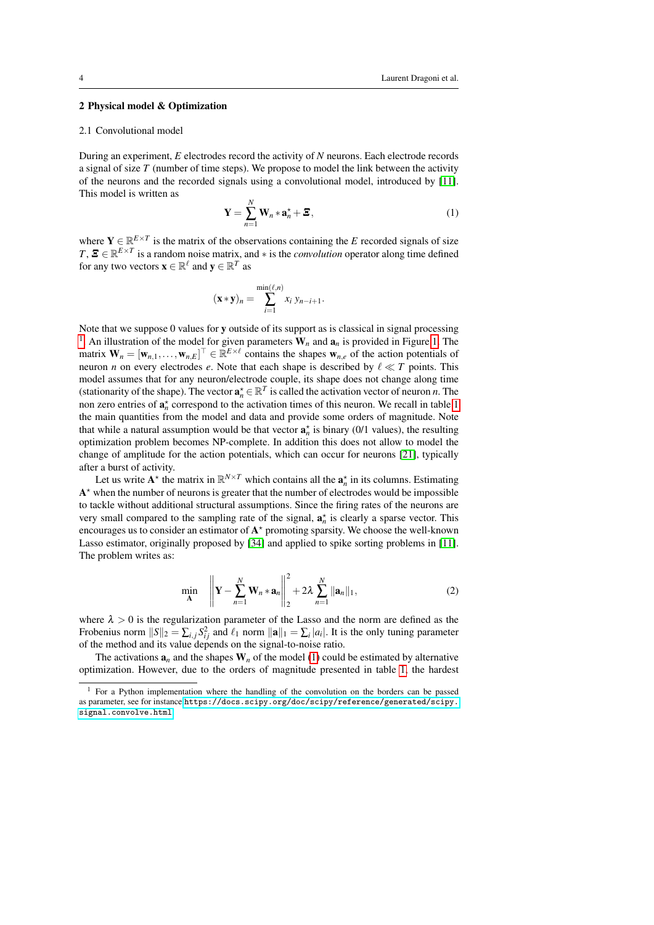# 2 Physical model & Optimization

#### 2.1 Convolutional model

During an experiment, *E* electrodes record the activity of *N* neurons. Each electrode records a signal of size *T* (number of time steps). We propose to model the link between the activity of the neurons and the recorded signals using a convolutional model, introduced by [\[11\]](#page-30-3). This model is written as

<span id="page-3-1"></span>
$$
\mathbf{Y} = \sum_{n=1}^{N} \mathbf{W}_n * \mathbf{a}_n^{\star} + \boldsymbol{\Xi},
$$
\n(1)

where  $Y \in \mathbb{R}^{E \times T}$  is the matrix of the observations containing the *E* recorded signals of size  $T, \mathbf{E} \in \mathbb{R}^{E \times T}$  is a random noise matrix, and  $*$  is the *convolution* operator along time defined for any two vectors  $\mathbf{x} \in \mathbb{R}^{\ell}$  and  $\mathbf{y} \in \mathbb{R}^{T}$  as

$$
(\mathbf{x} * \mathbf{y})_n = \sum_{i=1}^{\min(\ell,n)} x_i y_{n-i+1}.
$$

Note that we suppose 0 values for y outside of its support as is classical in signal processing <sup>[1](#page-3-0)</sup>. An illustration of the model for given parameters  $W_n$  and  $a_n$  is provided in Figure [1.](#page-4-0) The matrix  $\mathbf{W}_n = [\mathbf{w}_{n,1},...,\mathbf{w}_{n,E}]^\top \in \mathbb{R}^{E \times \ell}$  contains the shapes  $\mathbf{w}_{n,e}$  of the action potentials of neuron *n* on every electrodes *e*. Note that each shape is described by  $\ell \ll T$  points. This model assumes that for any neuron/electrode couple, its shape does not change along time (stationarity of the shape). The vector  $\mathbf{a}_n^* \in \mathbb{R}^T$  is called the activation vector of neuron *n*. The non zero entries of  $a_n^*$  correspond to the activation times of this neuron. We recall in table [1](#page-4-1) the main quantities from the model and data and provide some orders of magnitude. Note that while a natural assumption would be that vector  $\mathbf{a}_n^*$  is binary (0/1 values), the resulting optimization problem becomes NP-complete. In addition this does not allow to model the change of amplitude for the action potentials, which can occur for neurons [\[21\]](#page-30-2), typically after a burst of activity.

Let us write  $A^*$  the matrix in  $\mathbb{R}^{N \times T}$  which contains all the  $a_n^*$  in its columns. Estimating  $A^*$  when the number of neurons is greater that the number of electrodes would be impossible to tackle without additional structural assumptions. Since the firing rates of the neurons are very small compared to the sampling rate of the signal,  $\mathbf{a}_n^*$  is clearly a sparse vector. This encourages us to consider an estimator of  $A^*$  promoting sparsity. We choose the well-known Lasso estimator, originally proposed by [\[34\]](#page-30-9) and applied to spike sorting problems in [\[11\]](#page-30-3). The problem writes as:

<span id="page-3-2"></span>
$$
\min_{\mathbf{A}} \quad \left\| \mathbf{Y} - \sum_{n=1}^{N} \mathbf{W}_n \ast \mathbf{a}_n \right\|_2^2 + 2\lambda \sum_{n=1}^{N} \|\mathbf{a}_n\|_1,
$$
 (2)

where  $\lambda > 0$  is the regularization parameter of the Lasso and the norm are defined as the Frobenius norm  $||S||_2 = \sum_{i,j} S_{ij}^2$  and  $\ell_1$  norm  $||\mathbf{a}||_1 = \sum_i |a_i|$ . It is the only tuning parameter of the method and its value depends on the signal-to-noise ratio.

The activations  $\mathbf{a}_n$  and the shapes  $\mathbf{W}_n$  of the model [\(1\)](#page-3-1) could be estimated by alternative optimization. However, due to the orders of magnitude presented in table [1,](#page-4-1) the hardest

<span id="page-3-0"></span> $<sup>1</sup>$  For a Python implementation where the handling of the convolution on the borders can be passed</sup> as parameter, see for instance [https://docs.scipy.org/doc/scipy/reference/generated/scipy.](https://docs.scipy.org/doc/scipy/reference/generated/scipy.signal.convolve.html) [signal.convolve.html](https://docs.scipy.org/doc/scipy/reference/generated/scipy.signal.convolve.html)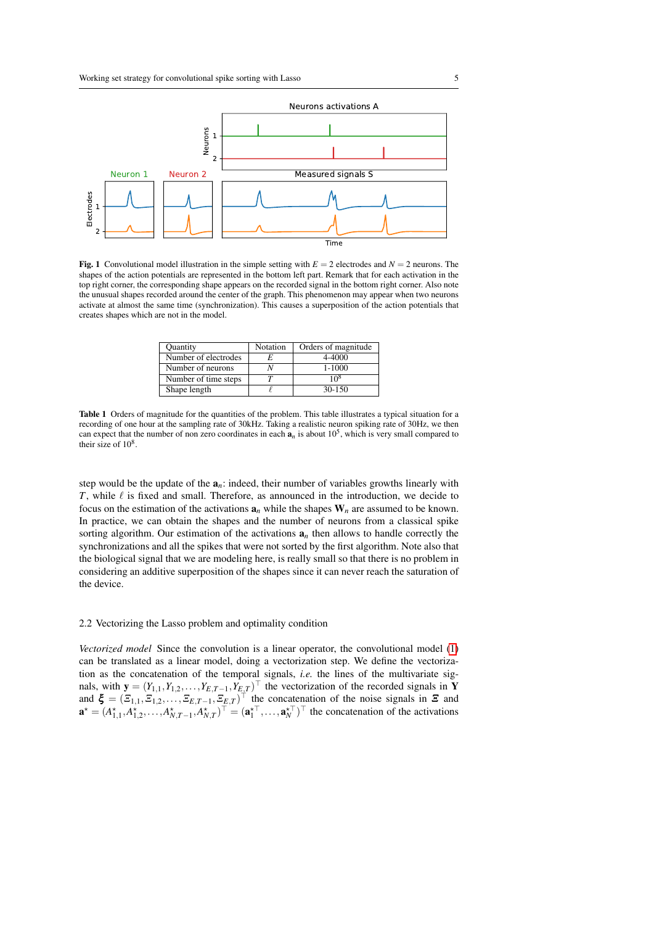

Fig. 1 Convolutional model illustration in the simple setting with  $E = 2$  electrodes and  $N = 2$  neurons. The shapes of the action potentials are represented in the bottom left part. Remark that for each activation in the top right corner, the corresponding shape appears on the recorded signal in the bottom right corner. Also note the unusual shapes recorded around the center of the graph. This phenomenon may appear when two neurons activate at almost the same time (synchronization). This causes a superposition of the action potentials that creates shapes which are not in the model.

<span id="page-4-0"></span>

| <b>Ouantity</b>      | Notation | Orders of magnitude |
|----------------------|----------|---------------------|
| Number of electrodes |          | 4-4000              |
| Number of neurons    |          | $1 - 1000$          |
| Number of time steps |          | 10 $8$              |
| Shape length         |          | $30 - 150$          |

<span id="page-4-1"></span>Table 1 Orders of magnitude for the quantities of the problem. This table illustrates a typical situation for a recording of one hour at the sampling rate of 30kHz. Taking a realistic neuron spiking rate of 30Hz, we then can expect that the number of non zero coordinates in each  $a_n$  is about  $10^5$ , which is very small compared to their size of  $10^8$ .

step would be the update of the  $a_n$ : indeed, their number of variables growths linearly with  $T$ , while  $\ell$  is fixed and small. Therefore, as announced in the introduction, we decide to focus on the estimation of the activations  $a_n$  while the shapes  $W_n$  are assumed to be known. In practice, we can obtain the shapes and the number of neurons from a classical spike sorting algorithm. Our estimation of the activations  $a_n$  then allows to handle correctly the synchronizations and all the spikes that were not sorted by the first algorithm. Note also that the biological signal that we are modeling here, is really small so that there is no problem in considering an additive superposition of the shapes since it can never reach the saturation of the device.

# 2.2 Vectorizing the Lasso problem and optimality condition

*Vectorized model* Since the convolution is a linear operator, the convolutional model [\(1\)](#page-3-1) can be translated as a linear model, doing a vectorization step. We define the vectorization as the concatenation of the temporal signals, *i.e.* the lines of the multivariate signals, with  $\mathbf{y} = (Y_{1,1}, Y_{1,2}, \dots, Y_{E,T-1}, Y_{E,T})^{\top}$  the vectorization of the recorded signals in Y and  $\xi = (\Xi_{1,1}, \Xi_{1,2}, \ldots, \Xi_{E,T-1}, \Xi_{E,T})^{\top}$  the concatenation of the noise signals in  $\Xi$  and  $\mathbf{a}^* = (A_{1,1}^*, A_{1,2}^*, \ldots, A_{N,T-1}^*, A_{N,T}^*)^\top = (\mathbf{a}_1^{\star \top}, \ldots, \mathbf{a}_N^{\star \top})^\top$  the concatenation of the activations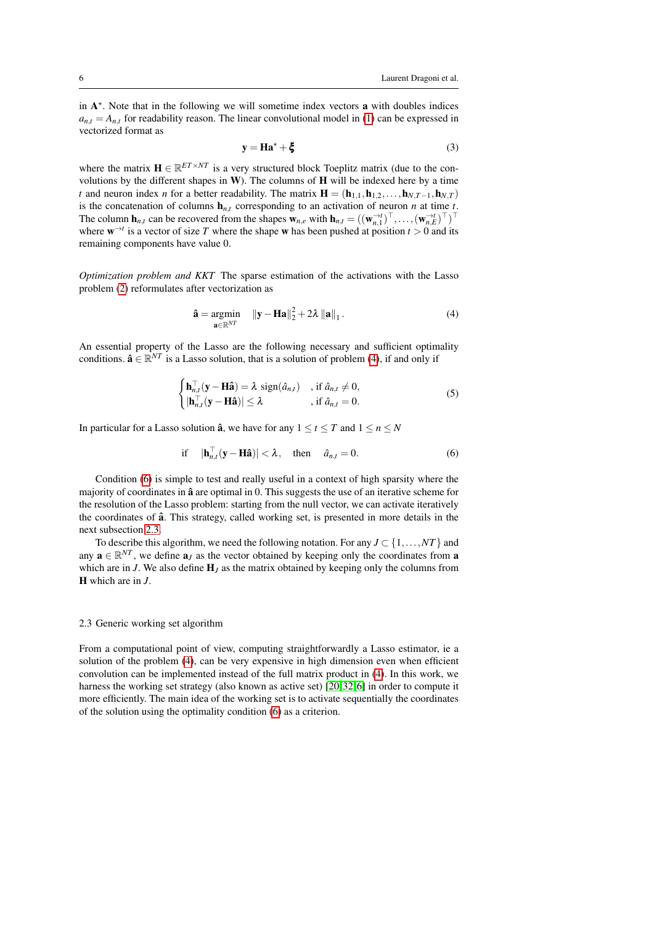in  $A^*$ . Note that in the following we will sometime index vectors a with doubles indices  $a_{n,t} = A_{n,t}$  for readability reason. The linear convolutional model in [\(1\)](#page-3-1) can be expressed in vectorized format as

<span id="page-5-3"></span>
$$
y = Ha^* + \xi \tag{3}
$$

where the matrix  $\mathbf{H} \in \mathbb{R}^{ET \times NT}$  is a very structured block Toeplitz matrix (due to the convolutions by the different shapes in  $W$ ). The columns of  $H$  will be indexed here by a time *t* and neuron index *n* for a better readability. The matrix  $\mathbf{H} = (\mathbf{h}_{1,1}, \mathbf{h}_{1,2}, \dots, \mathbf{h}_{NT-1}, \mathbf{h}_{NT})$ is the concatenation of columns  $\mathbf{h}_{n,t}$  corresponding to an activation of neuron *n* at time *t*. The column  $\mathbf{h}_{n,t}$  can be recovered from the shapes  $\mathbf{w}_{n,e}$  with  $\mathbf{h}_{n,t} = ((\mathbf{w}_{n,1}^{-t})^{\top}, \dots, (\mathbf{w}_{n,E}^{-t})^{\top})^{\top}$ where  $\mathbf{w}^{\rightarrow t}$  is a vector of size *T* where the shape **w** has been pushed at position  $t > 0$  and its remaining components have value 0.

*Optimization problem and KKT* The sparse estimation of the activations with the Lasso problem [\(2\)](#page-3-2) reformulates after vectorization as

<span id="page-5-0"></span>
$$
\hat{\mathbf{a}} = \underset{\mathbf{a} \in \mathbb{R}^{NT}}{\operatorname{argmin}} \quad \|\mathbf{y} - \mathbf{H}\mathbf{a}\|_2^2 + 2\lambda \left\|\mathbf{a}\right\|_1. \tag{4}
$$

An essential property of the Lasso are the following necessary and sufficient optimality conditions.  $\hat{\mathbf{a}} \in \mathbb{R}^{NT}$  is a Lasso solution, that is a solution of problem [\(4\)](#page-5-0), if and only if

$$
\begin{cases}\n\mathbf{h}_{n,t}^{\top}(\mathbf{y}-\mathbf{H}\hat{\mathbf{a}})=\lambda \operatorname{sign}(\hat{a}_{n,t}) , & \text{if } \hat{a}_{n,t}\neq 0, \\
|\mathbf{h}_{n,t}^{\top}(\mathbf{y}-\mathbf{H}\hat{\mathbf{a}})|\leq \lambda , & \text{if } \hat{a}_{n,t}=0.\n\end{cases}
$$
\n(5)

In particular for a Lasso solution  $\hat{a}$ , we have for any  $1 \le t \le T$  and  $1 \le n \le N$ 

<span id="page-5-1"></span>if 
$$
|\mathbf{h}_{n,t}^{\top}(\mathbf{y}-\mathbf{H}\hat{\mathbf{a}})| < \lambda
$$
, then  $\hat{a}_{n,t} = 0$ . (6)

Condition [\(6\)](#page-5-1) is simple to test and really useful in a context of high sparsity where the majority of coordinates in  $\hat{a}$  are optimal in 0. This suggests the use of an iterative scheme for the resolution of the Lasso problem: starting from the null vector, we can activate iteratively the coordinates of  $\hat{a}$ . This strategy, called working set, is presented in more details in the next subsection [2.3.](#page-5-2)

To describe this algorithm, we need the following notation. For any  $J \subset \{1, \ldots, NT\}$  and any  $\mathbf{a} \in \mathbb{R}^{NT}$ , we define  $\mathbf{a}_J$  as the vector obtained by keeping only the coordinates from a which are in *J*. We also define  $H_J$  as the matrix obtained by keeping only the columns from H which are in *J*.

# <span id="page-5-2"></span>2.3 Generic working set algorithm

From a computational point of view, computing straightforwardly a Lasso estimator, ie a solution of the problem [\(4\)](#page-5-0), can be very expensive in high dimension even when efficient convolution can be implemented instead of the full matrix product in [\(4\)](#page-5-0). In this work, we harness the working set strategy (also known as active set) [\[20,](#page-30-11)32,6] in order to compute it more efficiently. The main idea of the working set is to activate sequentially the coordinates of the solution using the optimality condition [\(6\)](#page-5-1) as a criterion.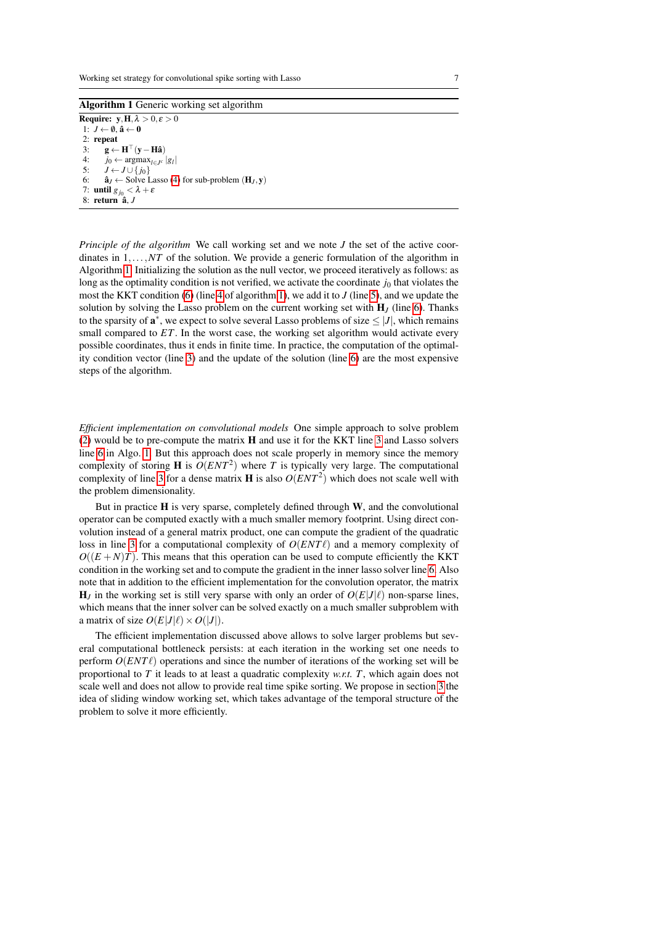Algorithm 1 Generic working set algorithm

<span id="page-6-4"></span><span id="page-6-3"></span><span id="page-6-2"></span><span id="page-6-1"></span><span id="page-6-0"></span>**Require:**  $y, H, \lambda > 0, \epsilon > 0$ 1:  $J \leftarrow \emptyset$ ,  $\hat{\mathbf{a}} \leftarrow \mathbf{0}$ 2: repeat 3:  $\mathbf{g} \leftarrow \mathbf{H}^{\top}(\mathbf{y} - \mathbf{H}\hat{\mathbf{a}})$ 4: *j*<sup>0</sup> ← argmax<sub>*l*∈*J*<sup>*c*</sup> |*gl*</sub> 5:  $J \leftarrow J \cup \{j_0\}$ 6:  $\hat{\mathbf{a}}_I \leftarrow$  Solve Lasso [\(4\)](#page-5-0) for sub-problem  $(\mathbf{H}_I, \mathbf{v})$ 7: until  $g_{j_0} < \lambda + \varepsilon$ 8: return  $\hat{a}$ , *J* 

*Principle of the algorithm* We call working set and we note *J* the set of the active coordinates in  $1, \ldots, NT$  of the solution. We provide a generic formulation of the algorithm in Algorithm [1.](#page-6-0) Initializing the solution as the null vector, we proceed iteratively as follows: as long as the optimality condition is not verified, we activate the coordinate  $j_0$  that violates the most the KKT condition [\(6\)](#page-5-1) (line [4](#page-6-1) of algorithm [1\)](#page-6-0), we add it to *J* (line [5\)](#page-6-2), and we update the solution by solving the Lasso problem on the current working set with  $H<sub>I</sub>$  (line [6\)](#page-6-3). Thanks to the sparsity of  $\mathbf{a}^*$ , we expect to solve several Lasso problems of size  $\leq |J|$ , which remains small compared to *ET*. In the worst case, the working set algorithm would activate every possible coordinates, thus it ends in finite time. In practice, the computation of the optimality condition vector (line [3\)](#page-6-4) and the update of the solution (line [6\)](#page-6-3) are the most expensive steps of the algorithm.

*Efficient implementation on convolutional models* One simple approach to solve problem [\(2\)](#page-3-2) would be to pre-compute the matrix H and use it for the KKT line [3](#page-6-4) and Lasso solvers line [6](#page-6-3) in Algo. [1.](#page-6-0) But this approach does not scale properly in memory since the memory complexity of storing **H** is  $O(ENT^2)$  where *T* is typically very large. The computational complexity of line [3](#page-6-4) for a dense matrix **H** is also  $O(ENT^2)$  which does not scale well with the problem dimensionality.

But in practice  $H$  is very sparse, completely defined through  $W$ , and the convolutional operator can be computed exactly with a much smaller memory footprint. Using direct convolution instead of a general matrix product, one can compute the gradient of the quadratic loss in line [3](#page-6-4) for a computational complexity of  $O(ENT\ell)$  and a memory complexity of  $O((E+N)T)$ . This means that this operation can be used to compute efficiently the KKT condition in the working set and to compute the gradient in the inner lasso solver line [6.](#page-6-3) Also note that in addition to the efficient implementation for the convolution operator, the matrix  $H_J$  in the working set is still very sparse with only an order of  $O(E|J|\ell)$  non-sparse lines, which means that the inner solver can be solved exactly on a much smaller subproblem with a matrix of size  $O(E|J|\ell) \times O(|J|)$ .

The efficient implementation discussed above allows to solve larger problems but several computational bottleneck persists: at each iteration in the working set one needs to perform  $O(ENT\ell)$  operations and since the number of iterations of the working set will be proportional to *T* it leads to at least a quadratic complexity *w.r.t. T*, which again does not scale well and does not allow to provide real time spike sorting. We propose in section [3](#page-8-0) the idea of sliding window working set, which takes advantage of the temporal structure of the problem to solve it more efficiently.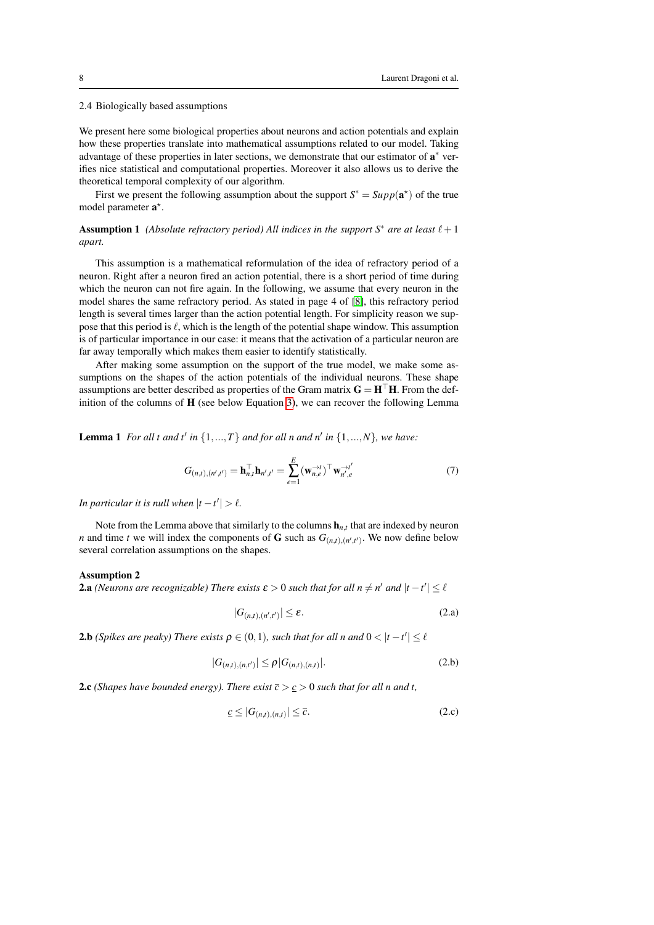#### <span id="page-7-0"></span>2.4 Biologically based assumptions

We present here some biological properties about neurons and action potentials and explain how these properties translate into mathematical assumptions related to our model. Taking advantage of these properties in later sections, we demonstrate that our estimator of  $a^*$  verifies nice statistical and computational properties. Moreover it also allows us to derive the theoretical temporal complexity of our algorithm.

<span id="page-7-2"></span>First we present the following assumption about the support  $S^* = Supp(\mathbf{a}^*)$  of the true model parameter  $a^*$ .

**Assumption 1** *(Absolute refractory period) All indices in the support S<sup>\*</sup> are at least*  $\ell + 1$ *apart.*

This assumption is a mathematical reformulation of the idea of refractory period of a neuron. Right after a neuron fired an action potential, there is a short period of time during which the neuron can not fire again. In the following, we assume that every neuron in the model shares the same refractory period. As stated in page 4 of [\[8\]](#page-29-5), this refractory period length is several times larger than the action potential length. For simplicity reason we suppose that this period is  $\ell$ , which is the length of the potential shape window. This assumption is of particular importance in our case: it means that the activation of a particular neuron are far away temporally which makes them easier to identify statistically.

After making some assumption on the support of the true model, we make some assumptions on the shapes of the action potentials of the individual neurons. These shape assumptions are better described as properties of the Gram matrix  $G = H<sup>T</sup>H$ . From the definition of the columns of  $H$  (see below Equation [3\)](#page-5-3), we can recover the following Lemma

<span id="page-7-4"></span>**Lemma 1** For all t and t' in  $\{1, ..., T\}$  and for all n and n' in  $\{1, ..., N\}$ , we have:

$$
G_{(n,t),(n',t')} = \mathbf{h}_{n,t}^{\top} \mathbf{h}_{n',t'} = \sum_{e=1}^{E} (\mathbf{w}_{n,e}^{-\lambda t})^{\top} \mathbf{w}_{n',e}^{-\lambda t'} \tag{7}
$$

*In particular it is null when*  $|t - t'| > \ell$ .

Note from the Lemma above that similarly to the columns  $\mathbf{h}_{n,t}$  that are indexed by neuron *n* and time *t* we will index the components of **G** such as  $G_{(n,t),(n',t')}$ . We now define below several correlation assumptions on the shapes.

#### <span id="page-7-3"></span>Assumption 2

**2.a** (Neurons are recognizable) There exists  $\varepsilon > 0$  such that for all  $n \neq n'$  and  $|t-t'| \leq \ell$ 

$$
|G_{(n,t),(n',t')}| \le \varepsilon. \tag{2.a}
$$

**2.b** (Spikes are peaky) There exists  $\rho \in (0,1)$ , such that for all n and  $0 < |t-t'| \leq \ell$ 

$$
|G_{(n,t),(n,t')}| \le \rho |G_{(n,t),(n,t)}|.
$$
 (2.b)

**2.c** (Shapes have bounded energy). There exist  $\overline{c} > c > 0$  such that for all n and t,

<span id="page-7-1"></span>
$$
\underline{c} \le |G_{(n,t),(n,t)}| \le \overline{c}.\tag{2.c}
$$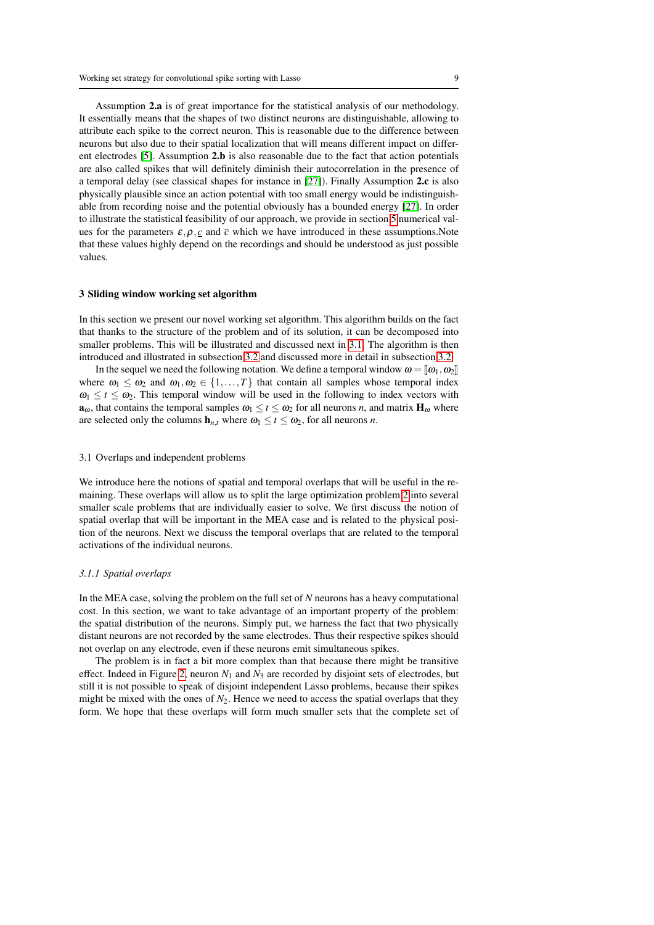Assumption 2.a is of great importance for the statistical analysis of our methodology. It essentially means that the shapes of two distinct neurons are distinguishable, allowing to attribute each spike to the correct neuron. This is reasonable due to the difference between neurons but also due to their spatial localization that will means different impact on different electrodes [\[5\]](#page-29-6). Assumption 2.b is also reasonable due to the fact that action potentials are also called spikes that will definitely diminish their autocorrelation in the presence of a temporal delay (see classical shapes for instance in [\[27\]](#page-30-17)). Finally Assumption 2.c is also physically plausible since an action potential with too small energy would be indistinguishable from recording noise and the potential obviously has a bounded energy [\[27\]](#page-30-17). In order to illustrate the statistical feasibility of our approach, we provide in section [5](#page-19-0) numerical values for the parameters  $\varepsilon$ ,  $\rho$ ,  $c$  and  $\bar{c}$  which we have introduced in these assumptions. Note that these values highly depend on the recordings and should be understood as just possible values.

#### <span id="page-8-0"></span>3 Sliding window working set algorithm

In this section we present our novel working set algorithm. This algorithm builds on the fact that thanks to the structure of the problem and of its solution, it can be decomposed into smaller problems. This will be illustrated and discussed next in [3.1.](#page-8-1) The algorithm is then introduced and illustrated in subsection [3.2](#page-10-0) and discussed more in detail in subsection [3.2.](#page-11-0)

In the sequel we need the following notation. We define a temporal window  $\omega = [\omega_1, \omega_2]$ where  $\omega_1 \leq \omega_2$  and  $\omega_1, \omega_2 \in \{1, ..., T\}$  that contain all samples whose temporal index  $\omega_1 \leq t \leq \omega_2$ . This temporal window will be used in the following to index vectors with  $\mathbf{a}_{\omega}$ , that contains the temporal samples  $\omega_1 \le t \le \omega_2$  for all neurons *n*, and matrix  $\mathbf{H}_{\omega}$  where are selected only the columns  $h_{n,t}$  where  $\omega_1 \le t \le \omega_2$ , for all neurons *n*.

#### <span id="page-8-1"></span>3.1 Overlaps and independent problems

We introduce here the notions of spatial and temporal overlaps that will be useful in the remaining. These overlaps will allow us to split the large optimization problem [2](#page-3-2) into several smaller scale problems that are individually easier to solve. We first discuss the notion of spatial overlap that will be important in the MEA case and is related to the physical position of the neurons. Next we discuss the temporal overlaps that are related to the temporal activations of the individual neurons.

# *3.1.1 Spatial overlaps*

In the MEA case, solving the problem on the full set of *N* neurons has a heavy computational cost. In this section, we want to take advantage of an important property of the problem: the spatial distribution of the neurons. Simply put, we harness the fact that two physically distant neurons are not recorded by the same electrodes. Thus their respective spikes should not overlap on any electrode, even if these neurons emit simultaneous spikes.

The problem is in fact a bit more complex than that because there might be transitive effect. Indeed in Figure [2,](#page-10-1) neuron  $N_1$  and  $N_3$  are recorded by disjoint sets of electrodes, but still it is not possible to speak of disjoint independent Lasso problems, because their spikes might be mixed with the ones of  $N_2$ . Hence we need to access the spatial overlaps that they form. We hope that these overlaps will form much smaller sets that the complete set of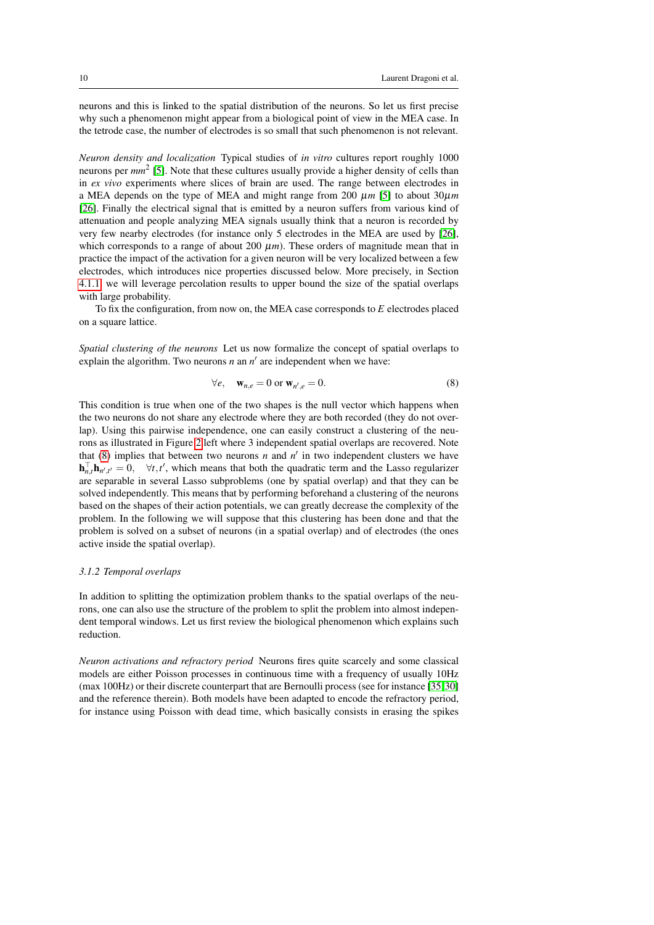neurons and this is linked to the spatial distribution of the neurons. So let us first precise why such a phenomenon might appear from a biological point of view in the MEA case. In the tetrode case, the number of electrodes is so small that such phenomenon is not relevant.

*Neuron density and localization* Typical studies of *in vitro* cultures report roughly 1000 neurons per *mm*<sup>2</sup> [\[5\]](#page-29-6). Note that these cultures usually provide a higher density of cells than in *ex vivo* experiments where slices of brain are used. The range between electrodes in a MEA depends on the type of MEA and might range from 200  $\mu$ m [\[5\]](#page-29-6) to about 30 $\mu$ m [\[26\]](#page-30-18). Finally the electrical signal that is emitted by a neuron suffers from various kind of attenuation and people analyzing MEA signals usually think that a neuron is recorded by very few nearby electrodes (for instance only 5 electrodes in the MEA are used by [\[26\]](#page-30-18), which corresponds to a range of about 200  $\mu$ m). These orders of magnitude mean that in practice the impact of the activation for a given neuron will be very localized between a few electrodes, which introduces nice properties discussed below. More precisely, in Section [4.1.1,](#page-14-0) we will leverage percolation results to upper bound the size of the spatial overlaps with large probability.

To fix the configuration, from now on, the MEA case corresponds to *E* electrodes placed on a square lattice.

*Spatial clustering of the neurons* Let us now formalize the concept of spatial overlaps to explain the algorithm. Two neurons  $n$  an  $n'$  are independent when we have:

<span id="page-9-0"></span>
$$
\forall e, \quad \mathbf{w}_{n,e} = 0 \text{ or } \mathbf{w}_{n',e} = 0. \tag{8}
$$

This condition is true when one of the two shapes is the null vector which happens when the two neurons do not share any electrode where they are both recorded (they do not overlap). Using this pairwise independence, one can easily construct a clustering of the neurons as illustrated in Figure [2.](#page-10-1)left where 3 independent spatial overlaps are recovered. Note that  $(8)$  implies that between two neurons *n* and  $n'$  in two independent clusters we have  $\mathbf{h}_{n,t}^{\top} \mathbf{h}_{n',t'} = 0$ ,  $\forall t, t'$ , which means that both the quadratic term and the Lasso regularizer are separable in several Lasso subproblems (one by spatial overlap) and that they can be solved independently. This means that by performing beforehand a clustering of the neurons based on the shapes of their action potentials, we can greatly decrease the complexity of the problem. In the following we will suppose that this clustering has been done and that the problem is solved on a subset of neurons (in a spatial overlap) and of electrodes (the ones active inside the spatial overlap).

# <span id="page-9-1"></span>*3.1.2 Temporal overlaps*

In addition to splitting the optimization problem thanks to the spatial overlaps of the neurons, one can also use the structure of the problem to split the problem into almost independent temporal windows. Let us first review the biological phenomenon which explains such reduction.

*Neuron activations and refractory period* Neurons fires quite scarcely and some classical models are either Poisson processes in continuous time with a frequency of usually 10Hz (max 100Hz) or their discrete counterpart that are Bernoulli process (see for instance [\[35,](#page-30-19) [30\]](#page-30-20) and the reference therein). Both models have been adapted to encode the refractory period, for instance using Poisson with dead time, which basically consists in erasing the spikes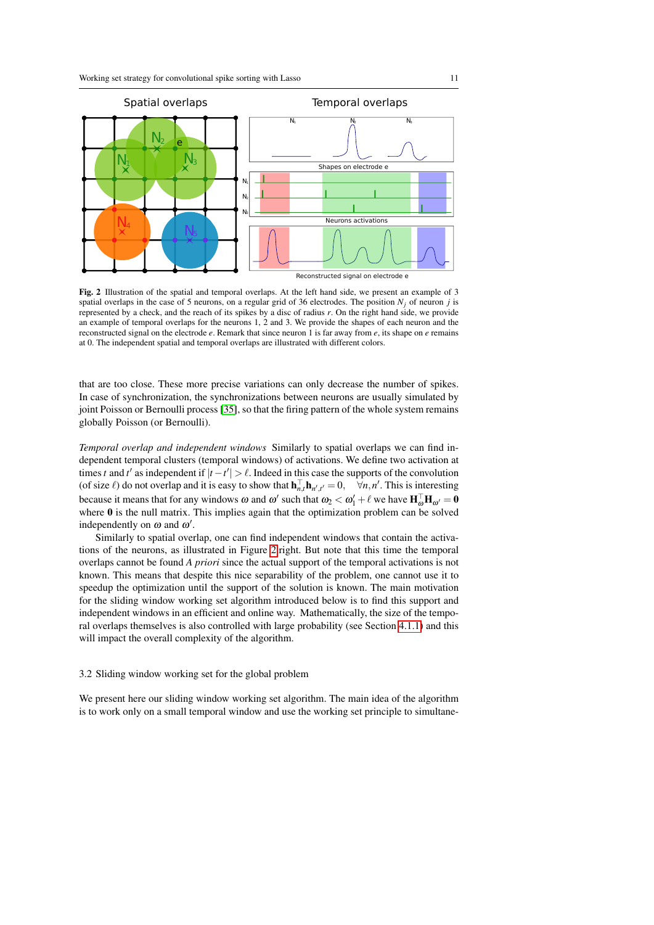

<span id="page-10-1"></span>Fig. 2 Illustration of the spatial and temporal overlaps. At the left hand side, we present an example of 3 spatial overlaps in the case of 5 neurons, on a regular grid of 36 electrodes. The position  $N_i$  of neuron *j* is represented by a check, and the reach of its spikes by a disc of radius *r*. On the right hand side, we provide an example of temporal overlaps for the neurons 1, 2 and 3. We provide the shapes of each neuron and the reconstructed signal on the electrode *e*. Remark that since neuron 1 is far away from *e*, its shape on *e* remains at 0. The independent spatial and temporal overlaps are illustrated with different colors.

that are too close. These more precise variations can only decrease the number of spikes. In case of synchronization, the synchronizations between neurons are usually simulated by joint Poisson or Bernoulli process [\[35\]](#page-30-19), so that the firing pattern of the whole system remains globally Poisson (or Bernoulli).

*Temporal overlap and independent windows* Similarly to spatial overlaps we can find independent temporal clusters (temporal windows) of activations. We define two activation at times *t* and *t*' as independent if  $|t - t'| > \ell$ . Indeed in this case the supports of the convolution (of size  $\ell$ ) do not overlap and it is easy to show that  $\mathbf{h}_{n,t}^{\top} \mathbf{h}_{n',t'} = 0$ ,  $\forall n,n'$ . This is interesting because it means that for any windows  $\omega$  and  $\omega'$  such that  $\omega_2 < \omega'_1 + \ell$  we have  $\mathbf{H}_{\omega}^{\top} \mathbf{H}_{\omega'} = \mathbf{0}$ where 0 is the null matrix. This implies again that the optimization problem can be solved independently on  $\omega$  and  $\omega'$ .

Similarly to spatial overlap, one can find independent windows that contain the activations of the neurons, as illustrated in Figure [2.](#page-10-1)right. But note that this time the temporal overlaps cannot be found *A priori* since the actual support of the temporal activations is not known. This means that despite this nice separability of the problem, one cannot use it to speedup the optimization until the support of the solution is known. The main motivation for the sliding window working set algorithm introduced below is to find this support and independent windows in an efficient and online way. Mathematically, the size of the temporal overlaps themselves is also controlled with large probability (see Section [4.1.1\)](#page-14-0) and this will impact the overall complexity of the algorithm.

#### <span id="page-10-0"></span>3.2 Sliding window working set for the global problem

We present here our sliding window working set algorithm. The main idea of the algorithm is to work only on a small temporal window and use the working set principle to simultane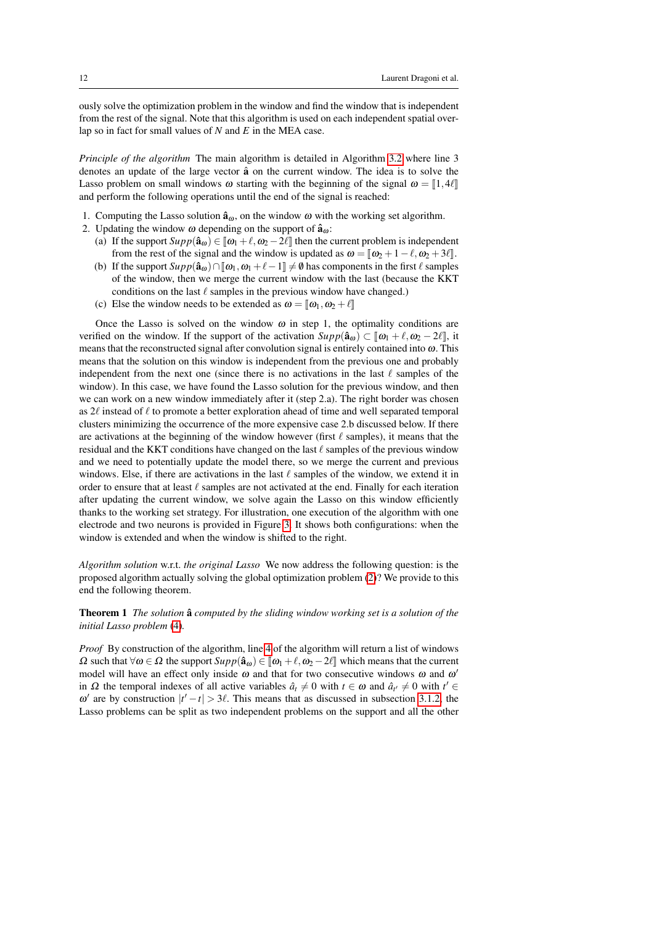ously solve the optimization problem in the window and find the window that is independent from the rest of the signal. Note that this algorithm is used on each independent spatial overlap so in fact for small values of *N* and *E* in the MEA case.

*Principle of the algorithm* The main algorithm is detailed in Algorithm [3.2](#page-11-1) where line 3 denotes an update of the large vector  $\hat{a}$  on the current window. The idea is to solve the Lasso problem on small windows  $\omega$  starting with the beginning of the signal  $\omega = [1, 4\ell]$ and perform the following operations until the end of the signal is reached:

- 1. Computing the Lasso solution  $\hat{\mathbf{a}}_{\omega}$ , on the window  $\omega$  with the working set algorithm.
- 2. Updating the window  $\omega$  depending on the support of  $\hat{a}_{\omega}$ :
	- (a) If the support  $Supp(\hat{a}_{\omega}) \in [\omega_1 + \ell, \omega_2 2\ell]$  then the current problem is independent from the rest of the signal and the window is updated as  $\omega = [\omega_2 + 1 - \ell, \omega_2 + 3\ell].$
	- (b) If the support  $Supp(\hat{a}_\omega) \cap [\omega_1, \omega_1 + \ell 1] \neq \emptyset$  has components in the first  $\ell$  samples of the window, then we merge the current window with the last (because the KKT conditions on the last  $\ell$  samples in the previous window have changed.)
	- (c) Else the window needs to be extended as  $\omega = [\omega_1, \omega_2 + \ell]$

<span id="page-11-1"></span>Once the Lasso is solved on the window  $\omega$  in step 1, the optimality conditions are verified on the window. If the support of the activation  $Supp(\hat{a}_\omega) \subset [\![\omega_1 + \ell, \omega_2 - 2\ell]\!]$ , it means that the reconstructed signal after convolution signal is entirely contained into  $\omega$ . This means that the solution on this window is independent from the previous one and probably independent from the next one (since there is no activations in the last  $\ell$  samples of the window). In this case, we have found the Lasso solution for the previous window, and then we can work on a new window immediately after it (step 2.a). The right border was chosen as  $2\ell$  instead of  $\ell$  to promote a better exploration ahead of time and well separated temporal clusters minimizing the occurrence of the more expensive case 2.b discussed below. If there are activations at the beginning of the window however (first  $\ell$  samples), it means that the residual and the KKT conditions have changed on the last  $\ell$  samples of the previous window and we need to potentially update the model there, so we merge the current and previous windows. Else, if there are activations in the last  $\ell$  samples of the window, we extend it in order to ensure that at least  $\ell$  samples are not activated at the end. Finally for each iteration after updating the current window, we solve again the Lasso on this window efficiently thanks to the working set strategy. For illustration, one execution of the algorithm with one electrode and two neurons is provided in Figure [3.](#page-13-0) It shows both configurations: when the window is extended and when the window is shifted to the right.

<span id="page-11-0"></span>*Algorithm solution* w.r.t. *the original Lasso* We now address the following question: is the proposed algorithm actually solving the global optimization problem [\(2\)](#page-3-2)? We provide to this end the following theorem.

<span id="page-11-2"></span>**Theorem 1** *The solution*  $\hat{a}$  *computed by the sliding window working set is a solution of the initial Lasso problem* [\(4\)](#page-5-0)*.*

*Proof* By construction of the algorithm, line [4](#page-12-0) of the algorithm will return a list of windows  $\Omega$  such that  $\forall \omega \in \Omega$  the support  $Supp(\hat{\mathbf{a}}_{\omega}) \in [\omega_1 + \ell, \omega_2 - 2\ell]$  which means that the current model will have an effect only inside  $\omega$  and that for two consecutive windows  $\omega$  and  $\omega'$ in  $\Omega$  the temporal indexes of all active variables  $\hat{a}_t \neq 0$  with  $t \in \omega$  and  $\hat{a}_{t'} \neq 0$  with  $t' \in \Omega$  $\omega'$  are by construction  $|t'-t| > 3\ell$ . This means that as discussed in subsection [3.1.2,](#page-9-1) the Lasso problems can be split as two independent problems on the support and all the other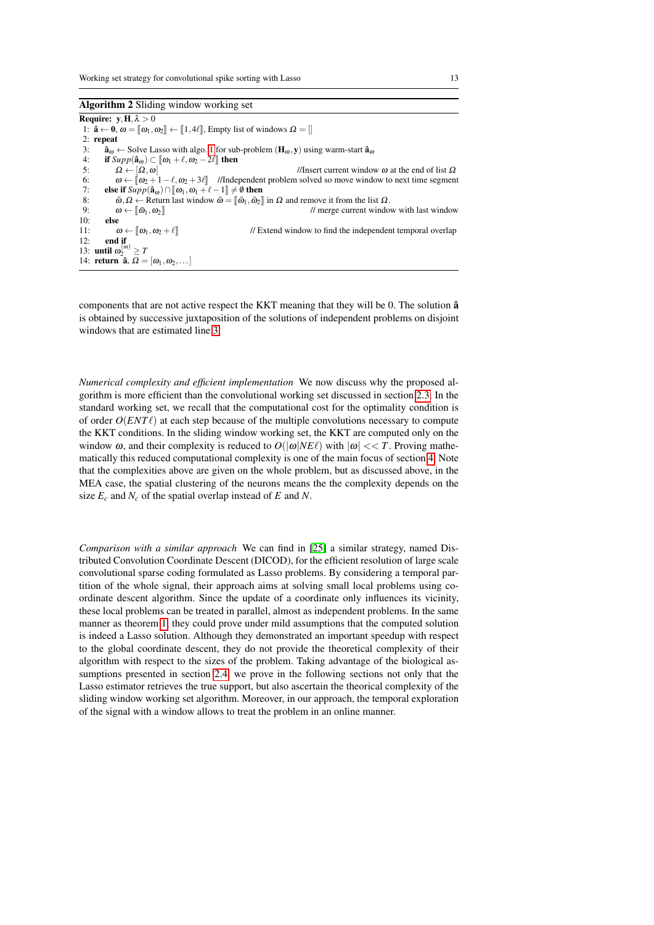<span id="page-12-1"></span><span id="page-12-0"></span>Algorithm 2 Sliding window working set Require:  $y, H, \lambda > 0$ 1:  $\hat{\mathbf{a}} \leftarrow \mathbf{0}, \omega = [\![\omega_1, \omega_2]\!] \leftarrow [\![1, 4\ell]\!]$ , Empty list of windows  $\Omega = [\!]$ 2: repeat 3:  $\hat{\mathbf{a}}_{\omega} \leftarrow$  Solve Lasso with algo. [1](#page-6-0) for sub-problem  $(\mathbf{H}_{\omega}, \mathbf{y})$  using warm-start  $\hat{\mathbf{a}}_{\omega}$ <br>4: if  $Supp(\hat{\mathbf{a}}_{\omega}) \subset [\omega_1 + \ell, \omega_2 - 2\ell]$  then 4: **if**  $Supp(\hat{a}_{\omega}) \subset [\omega_1 + \ell, \omega_2 - 2\ell]$  then<br>5:  $\Omega \leftarrow [\Omega, \omega]$ 5:  $\Omega \leftarrow [\Omega, \omega]$  //Insert current window ω at the end of list Ω<br>6:  $\omega \leftarrow [\omega_0 + 1 - \ell, \omega_0 + 3\ell]$  //Independent problem solved so move window to next time segmen 6:  $\omega \leftarrow [\omega_2 + 1 - \ell, \omega_2 + 3\ell]$  //Independent problem solved so move window to next time segment <br>7. else if  $Sunn(\hat{a}_{\omega}) \cap [\omega_1, \omega_2 + \ell - 1] \neq \emptyset$  then 7: **else if**  $\text{Supp}(\hat{\mathbf{a}}_{\omega}) \cap [\omega_1, \omega_1 + \ell - 1] \neq \emptyset$  then<br>8:  $\tilde{\omega}, \Omega \leftarrow \text{Return last window } \tilde{\omega} = [\tilde{\omega}_1, \tilde{\omega}_2]$ 8:  $\tilde{\omega}, \Omega \leftarrow$  Return last window  $\tilde{\omega} = [\[\tilde{\omega}_1, \tilde{\omega}_2\]]$  in  $\Omega$  and remove it from the list  $\Omega$ .<br>9:  $\omega \leftarrow [\[\tilde{\omega}_1, \omega_2\]]$  // merge current windo 9:  $\omega \leftarrow [\![\tilde{\omega}_1, \omega_2]\!]$  // merge current window with last window 10: else 11:  $\omega \leftarrow [\omega_1, \omega_2 + \ell]$  // Extend window to find the independent temporal overlap 12: end if 13: **until**  $\omega_2^{(m)} \geq T$ 14: return  $\hat{\mathbf{a}}$ ,  $\Omega = [\omega_1, \omega_2, \dots]$ 

components that are not active respect the KKT meaning that they will be 0. The solution  $\hat{a}$ is obtained by successive juxtaposition of the solutions of independent problems on disjoint windows that are estimated line [3.](#page-12-1)

*Numerical complexity and efficient implementation* We now discuss why the proposed algorithm is more efficient than the convolutional working set discussed in section [2.3.](#page-5-2) In the standard working set, we recall that the computational cost for the optimality condition is of order  $O(ENT\ell)$  at each step because of the multiple convolutions necessary to compute the KKT conditions. In the sliding window working set, the KKT are computed only on the window  $\omega$ , and their complexity is reduced to  $O(|\omega|NE\ell)$  with  $|\omega| << T$ . Proving mathematically this reduced computational complexity is one of the main focus of section [4.](#page-14-1) Note that the complexities above are given on the whole problem, but as discussed above, in the MEA case, the spatial clustering of the neurons means the the complexity depends on the size  $E_c$  and  $N_c$  of the spatial overlap instead of  $E$  and  $N$ .

*Comparison with a similar approach* We can find in [\[25\]](#page-30-13) a similar strategy, named Distributed Convolution Coordinate Descent (DICOD), for the efficient resolution of large scale convolutional sparse coding formulated as Lasso problems. By considering a temporal partition of the whole signal, their approach aims at solving small local problems using coordinate descent algorithm. Since the update of a coordinate only influences its vicinity, these local problems can be treated in parallel, almost as independent problems. In the same manner as theorem [1,](#page-11-2) they could prove under mild assumptions that the computed solution is indeed a Lasso solution. Although they demonstrated an important speedup with respect to the global coordinate descent, they do not provide the theoretical complexity of their algorithm with respect to the sizes of the problem. Taking advantage of the biological assumptions presented in section [2.4,](#page-7-0) we prove in the following sections not only that the Lasso estimator retrieves the true support, but also ascertain the theorical complexity of the sliding window working set algorithm. Moreover, in our approach, the temporal exploration of the signal with a window allows to treat the problem in an online manner.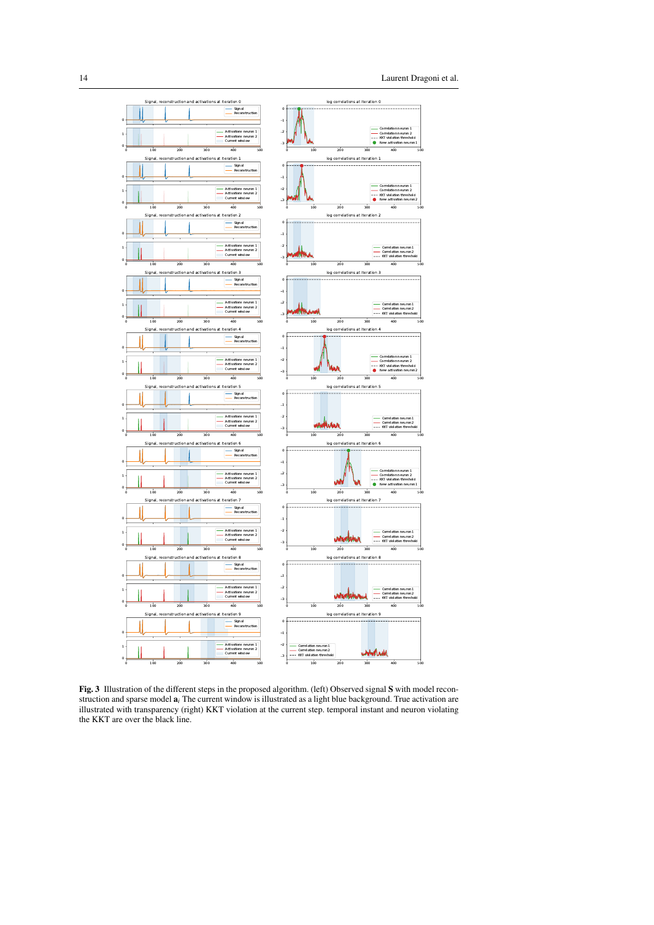

<span id="page-13-0"></span>Fig. 3 Illustration of the different steps in the proposed algorithm. (left) Observed signal S with model reconstruction and sparse model a*<sup>i</sup>* The current window is illustrated as a light blue background. True activation are illustrated with transparency (right) KKT violation at the current step. temporal instant and neuron violating the KKT are over the black line.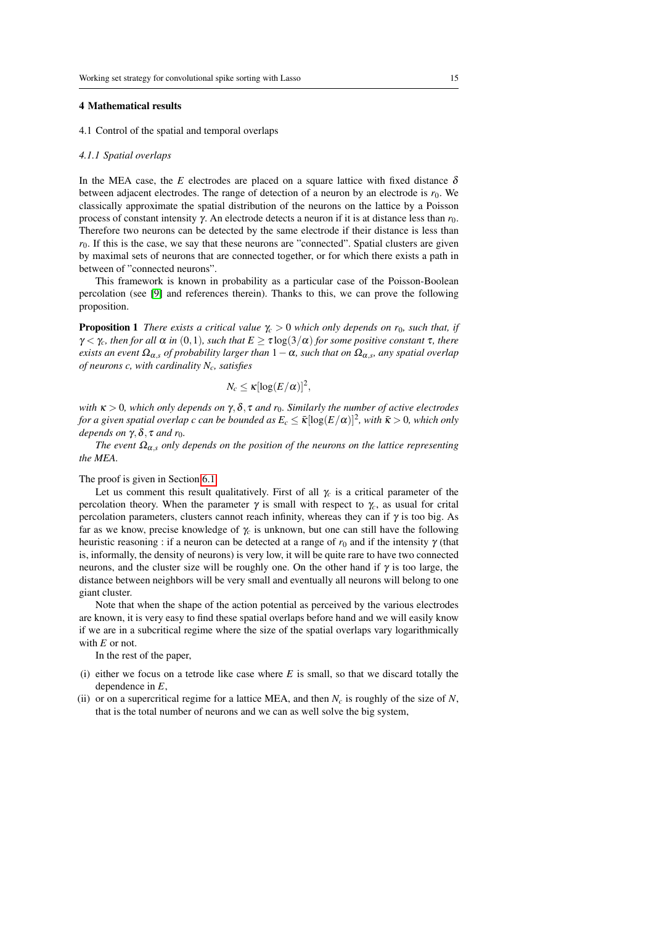#### <span id="page-14-1"></span>4 Mathematical results

4.1 Control of the spatial and temporal overlaps

#### <span id="page-14-0"></span>*4.1.1 Spatial overlaps*

In the MEA case, the *E* electrodes are placed on a square lattice with fixed distance  $\delta$ between adjacent electrodes. The range of detection of a neuron by an electrode is  $r_0$ . We classically approximate the spatial distribution of the neurons on the lattice by a Poisson process of constant intensity γ. An electrode detects a neuron if it is at distance less than  $r_0$ . Therefore two neurons can be detected by the same electrode if their distance is less than  $r<sub>0</sub>$ . If this is the case, we say that these neurons are "connected". Spatial clusters are given by maximal sets of neurons that are connected together, or for which there exists a path in between of "connected neurons".

This framework is known in probability as a particular case of the Poisson-Boolean percolation (see [\[9\]](#page-29-7) and references therein). Thanks to this, we can prove the following proposition.

<span id="page-14-2"></span>**Proposition 1** *There exists a critical value*  $\gamma_c > 0$  *which only depends on r<sub>0</sub>, such that, if*  $\gamma < \gamma_c$ *, then for all*  $\alpha$  *in* (0,1)*, such that*  $E \ge \tau \log(3/\alpha)$  *for some positive constant*  $\tau$ *, there*  $e$ xists an event  $\Omega_{\alpha,s}$  of probability larger than  $1-\alpha$ , such that on  $\Omega_{\alpha,s}$ , any spatial overlap *of neurons c, with cardinality Nc, satisfies*

$$
N_c \leq \kappa[\log(E/\alpha)]^2,
$$

*with*  $\kappa > 0$ *, which only depends on*  $\gamma$ *,*  $\delta$ *,*  $\tau$  *and*  $r_0$ *. Similarly the number of active electrodes* for a given spatial overlap  $c$  can be bounded as  $E_c\leq \bar{\kappa}[\log(E/\alpha)]^2$ , with  $\bar{\kappa}>0$ , which only *depends on*  $\gamma$ ,  $\delta$ ,  $\tau$  *and*  $r_0$ *.* 

*The event*  $\Omega_{\alpha,s}$  *only depends on the position of the neurons on the lattice representing the MEA.*

The proof is given in Section [6.1.](#page-22-0)

Let us comment this result qualitatively. First of all  $\gamma_c$  is a critical parameter of the percolation theory. When the parameter γ is small with respect to γ*c*, as usual for crital percolation parameters, clusters cannot reach infinity, whereas they can if  $\gamma$  is too big. As far as we know, precise knowledge of  $\gamma_c$  is unknown, but one can still have the following heuristic reasoning : if a neuron can be detected at a range of  $r_0$  and if the intensity  $\gamma$  (that is, informally, the density of neurons) is very low, it will be quite rare to have two connected neurons, and the cluster size will be roughly one. On the other hand if  $\gamma$  is too large, the distance between neighbors will be very small and eventually all neurons will belong to one giant cluster.

Note that when the shape of the action potential as perceived by the various electrodes are known, it is very easy to find these spatial overlaps before hand and we will easily know if we are in a subcritical regime where the size of the spatial overlaps vary logarithmically with *E* or not.

In the rest of the paper,

- (i) either we focus on a tetrode like case where  $E$  is small, so that we discard totally the dependence in *E*,
- (ii) or on a supercritical regime for a lattice MEA, and then  $N_c$  is roughly of the size of  $N$ , that is the total number of neurons and we can as well solve the big system,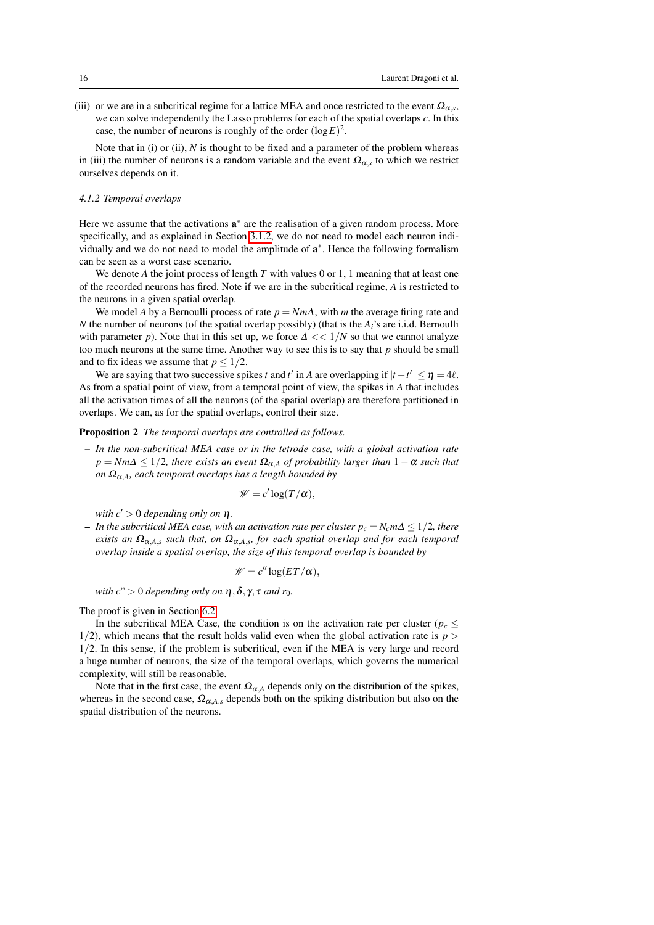(iii) or we are in a subcritical regime for a lattice MEA and once restricted to the event  $\Omega_{\alpha,s}$ , we can solve independently the Lasso problems for each of the spatial overlaps *c*. In this case, the number of neurons is roughly of the order  $(\log E)^2$ .

Note that in (i) or (ii), *N* is thought to be fixed and a parameter of the problem whereas in (iii) the number of neurons is a random variable and the event  $\Omega_{\alpha,s}$  to which we restrict ourselves depends on it.

#### *4.1.2 Temporal overlaps*

Here we assume that the activations  $a^*$  are the realisation of a given random process. More specifically, and as explained in Section [3.1.2,](#page-9-1) we do not need to model each neuron individually and we do not need to model the amplitude of  $a^*$ . Hence the following formalism can be seen as a worst case scenario.

We denote A the joint process of length  $T$  with values 0 or 1, 1 meaning that at least one of the recorded neurons has fired. Note if we are in the subcritical regime, *A* is restricted to the neurons in a given spatial overlap.

We model *A* by a Bernoulli process of rate  $p = Nm\Delta$ , with *m* the average firing rate and *N* the number of neurons (of the spatial overlap possibly) (that is the *Ai*'s are i.i.d. Bernoulli with parameter *p*). Note that in this set up, we force  $\Delta \ll 1/N$  so that we cannot analyze too much neurons at the same time. Another way to see this is to say that *p* should be small and to fix ideas we assume that  $p \leq 1/2$ .

We are saying that two successive spikes *t* and *t'* in *A* are overlapping if  $|t - t'| \le \eta = 4\ell$ . As from a spatial point of view, from a temporal point of view, the spikes in *A* that includes all the activation times of all the neurons (of the spatial overlap) are therefore partitioned in overlaps. We can, as for the spatial overlaps, control their size.

# <span id="page-15-0"></span>Proposition 2 *The temporal overlaps are controlled as follows.*

– *In the non-subcritical MEA case or in the tetrode case, with a global activation rate*  $p = Nm\Delta \leq 1/2$ , there exists an event  $\Omega_{\alpha,A}$  of probability larger than  $1-\alpha$  such that *on* Ωα,*A, each temporal overlaps has a length bounded by*

$$
\mathscr{W}=c'\log(T/\alpha),
$$

*with*  $c' > 0$  *depending only on*  $\eta$ *.* 

 $−$  *In the subcritical MEA case, with an activation rate per cluster*  $p_c = N_c m\Delta ≤ 1/2$ *, there*  $e$ xists an  $\Omega_{\alpha,A,s}$  *such that, on*  $\Omega_{\alpha,A,s}$ *, for each spatial overlap and for each temporal overlap inside a spatial overlap, the size of this temporal overlap is bounded by*

$$
\mathscr{W}=c''\log(ET/\alpha),
$$

*with*  $c$ " > 0 *depending only on*  $\eta$ ,  $\delta$ ,  $\gamma$ ,  $\tau$  *and*  $r_0$ *.* 

The proof is given in Section [6.2.](#page-23-0)

In the subcritical MEA Case, the condition is on the activation rate per cluster ( $p_c \leq$  $1/2$ ), which means that the result holds valid even when the global activation rate is  $p > 1$ 1/2. In this sense, if the problem is subcritical, even if the MEA is very large and record a huge number of neurons, the size of the temporal overlaps, which governs the numerical complexity, will still be reasonable.

Note that in the first case, the event  $\Omega_{\alpha,A}$  depends only on the distribution of the spikes, whereas in the second case,  $\Omega_{\alpha,A,s}$  depends both on the spiking distribution but also on the spatial distribution of the neurons.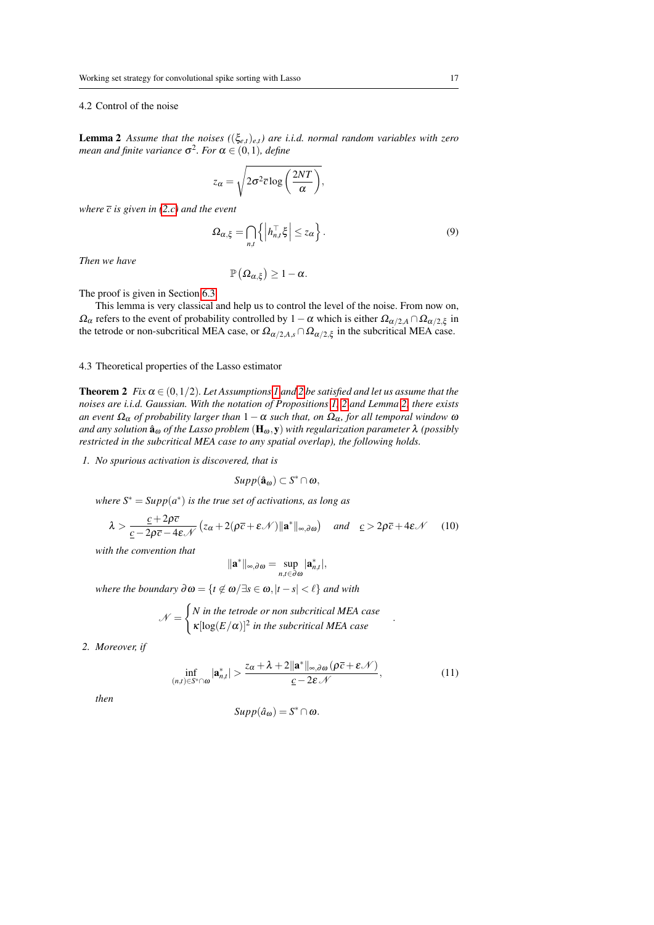# 4.2 Control of the noise

<span id="page-16-0"></span>**Lemma 2** Assume that the noises  $((\xi_{e,t})_{e,t})$  are i.i.d. normal random variables with zero mean and finite variance  $\sigma^2$ *. For*  $\alpha \in (0,1)$ *, define* 

$$
z_{\alpha} = \sqrt{2\sigma^2 \overline{c} \log\left(\frac{2NT}{\alpha}\right)},
$$

*where*  $\bar{c}$  *is given in* (2.*c*) and the event

$$
\Omega_{\alpha,\xi} = \bigcap_{n,t} \left\{ \left| h_{n,t}^{\top} \xi \right| \leq z_{\alpha} \right\}.
$$
\n(9)

*Then we have*

$$
\mathbb{P}\left(\Omega_{\alpha,\xi}\right)\geq1-\alpha.
$$

The proof is given in Section [6.3.](#page-24-0)

This lemma is very classical and help us to control the level of the noise. From now on,  $\Omega_{\alpha}$  refers to the event of probability controlled by 1 –  $\alpha$  which is either  $\Omega_{\alpha/2,A} \cap \Omega_{\alpha/2,\xi}$  in the tetrode or non-subcritical MEA case, or  $\Omega_{\alpha/2,A,s} \cap \Omega_{\alpha/2,\xi}$  in the subcritical MEA case.

# 4.3 Theoretical properties of the Lasso estimator

<span id="page-16-3"></span>**Theorem [2](#page-7-3)** *Fix*  $\alpha \in (0,1/2)$ *. Let Assumptions [1](#page-7-2) and 2 be satisfied and let us assume that the noises are i.i.d. Gaussian. With the notation of Propositions [1,](#page-14-2) [2](#page-15-0) and Lemma [2,](#page-16-0) there exists an event*  $\Omega_{\alpha}$  *of probability larger than*  $1-\alpha$  *such that, on*  $\Omega_{\alpha}$ *, for all temporal window*  $\omega$ and any solution  $\hat{a}_\omega$  of the Lasso problem  $(\mathbf{H}_\omega, \mathbf{y})$  with regularization parameter  $\lambda$  (possibly *restricted in the subcritical MEA case to any spatial overlap), the following holds.*

*1. No spurious activation is discovered, that is*

$$
\mathit{Supp}(\hat{a}_\omega)\subset S^*\cap\omega,
$$

 $where S^* = Supp(a^*)$  *is the true set of activations, as long as* 

<span id="page-16-1"></span>
$$
\lambda > \frac{c + 2\rho\bar{c}}{c - 2\rho\bar{c} - 4\varepsilon \mathcal{N}} \left( z_{\alpha} + 2(\rho\bar{c} + \varepsilon \mathcal{N}) \|\mathbf{a}^*\|_{\infty, \partial \omega} \right) \quad \text{and} \quad \underline{c} > 2\rho\bar{c} + 4\varepsilon \mathcal{N} \tag{10}
$$

*with the convention that*

$$
\|{\mathbf{a}}^*\|_{\infty,\partial\omega}=\sup_{n,t\in\partial\omega}|{\mathbf{a}}_{n,t}^*|,
$$

*where the boundary*  $\partial \omega = \{t \notin \omega / \exists s \in \omega, |t - s| < \ell \}$  *and with* 

$$
\mathcal{N} = \begin{cases} N \text{ in the tetrode or non subcritical MEA case} \\ \kappa[\log(E/\alpha)]^2 \text{ in the subcritical MEA case} \end{cases}
$$

*2. Moreover, if*

$$
\inf_{(n,t)\in S^*\cap\omega}|\mathbf{a}_{n,t}^*|>\frac{z_{\alpha}+\lambda+2\|\mathbf{a}^*\|_{\infty,\partial\omega}(\rho\overline{c}+\varepsilon\mathcal{N})}{\underline{c}-2\varepsilon\mathcal{N}},\qquad(11)
$$

<span id="page-16-2"></span>.

*then*

$$
Supp(\hat{a}_{\omega})=S^*\cap\omega.
$$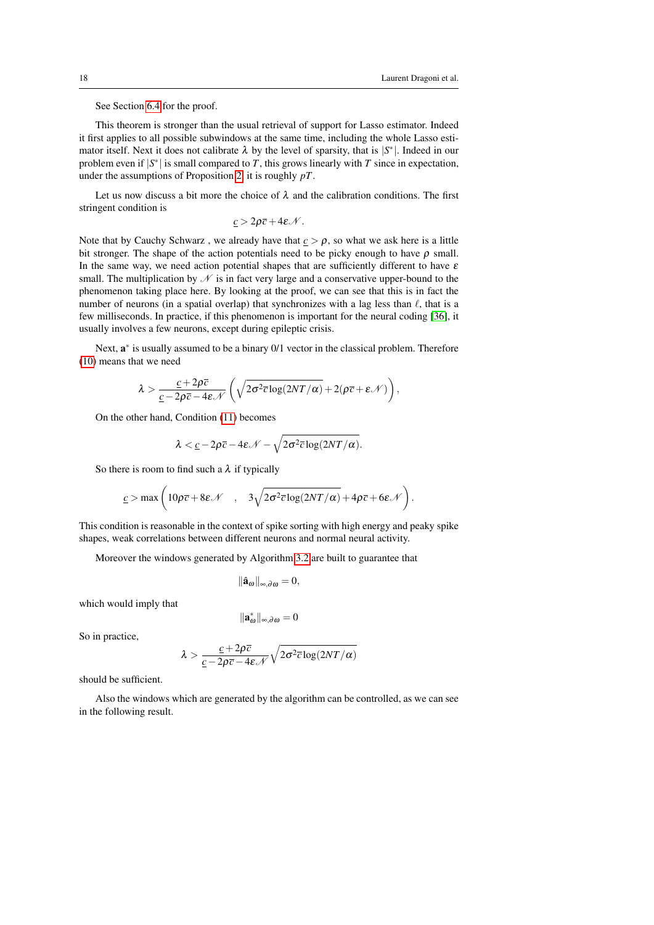See Section [6.4](#page-24-1) for the proof.

This theorem is stronger than the usual retrieval of support for Lasso estimator. Indeed it first applies to all possible subwindows at the same time, including the whole Lasso estimator itself. Next it does not calibrate  $\lambda$  by the level of sparsity, that is  $|S^*|$ . Indeed in our problem even if  $|S^*|$  is small compared to *T*, this grows linearly with *T* since in expectation, under the assumptions of Proposition [2,](#page-15-0) it is roughly *pT*.

Let us now discuss a bit more the choice of  $\lambda$  and the calibration conditions. The first stringent condition is

$$
\underline{c} > 2\rho \overline{c} + 4\varepsilon \mathcal{N}.
$$

Note that by Cauchy Schwarz, we already have that  $c > \rho$ , so what we ask here is a little bit stronger. The shape of the action potentials need to be picky enough to have  $\rho$  small. In the same way, we need action potential shapes that are sufficiently different to have  $\varepsilon$ small. The multiplication by  $N$  is in fact very large and a conservative upper-bound to the phenomenon taking place here. By looking at the proof, we can see that this is in fact the number of neurons (in a spatial overlap) that synchronizes with a lag less than  $\ell$ , that is a few milliseconds. In practice, if this phenomenon is important for the neural coding [\[36\]](#page-31-2), it usually involves a few neurons, except during epileptic crisis.

Next,  $a^*$  is usually assumed to be a binary 0/1 vector in the classical problem. Therefore [\(10\)](#page-16-1) means that we need

$$
\lambda > \frac{c + 2\rho\bar{c}}{c - 2\rho\bar{c} - 4\varepsilon\mathcal{N}} \left( \sqrt{2\sigma^2 \bar{c} \log(2NT/\alpha)} + 2(\rho\bar{c} + \varepsilon\mathcal{N}) \right),
$$

On the other hand, Condition [\(11\)](#page-16-2) becomes

$$
\lambda < \underline{c} - 2\rho \overline{c} - 4\varepsilon \mathcal{N} - \sqrt{2\sigma^2 \overline{c} \log(2NT/\alpha)}.
$$

So there is room to find such a  $\lambda$  if typically

$$
\underline{c} > \max\left(10\rho\overline{c} + 8\varepsilon\mathcal{N} \quad , \quad 3\sqrt{2\sigma^2\overline{c}\log(2NT/\alpha)} + 4\rho\overline{c} + 6\varepsilon\mathcal{N}\right).
$$

This condition is reasonable in the context of spike sorting with high energy and peaky spike shapes, weak correlations between different neurons and normal neural activity.

Moreover the windows generated by Algorithm [3.2](#page-11-1) are built to guarantee that

$$
\|\hat{\mathbf{a}}_{\omega}\|_{\infty,\partial\omega}=0,
$$

which would imply that

$$
\|\mathbf{a}^*_\omega\|_{\infty,\partial\omega}=0
$$

So in practice,

$$
\lambda > \frac{c + 2\rho\bar{c}}{\underline{c} - 2\rho\bar{c} - 4\varepsilon\mathcal{N}}\sqrt{2\sigma^2\bar{c}\log(2NT/\alpha)}
$$

should be sufficient.

<span id="page-17-0"></span>Also the windows which are generated by the algorithm can be controlled, as we can see in the following result.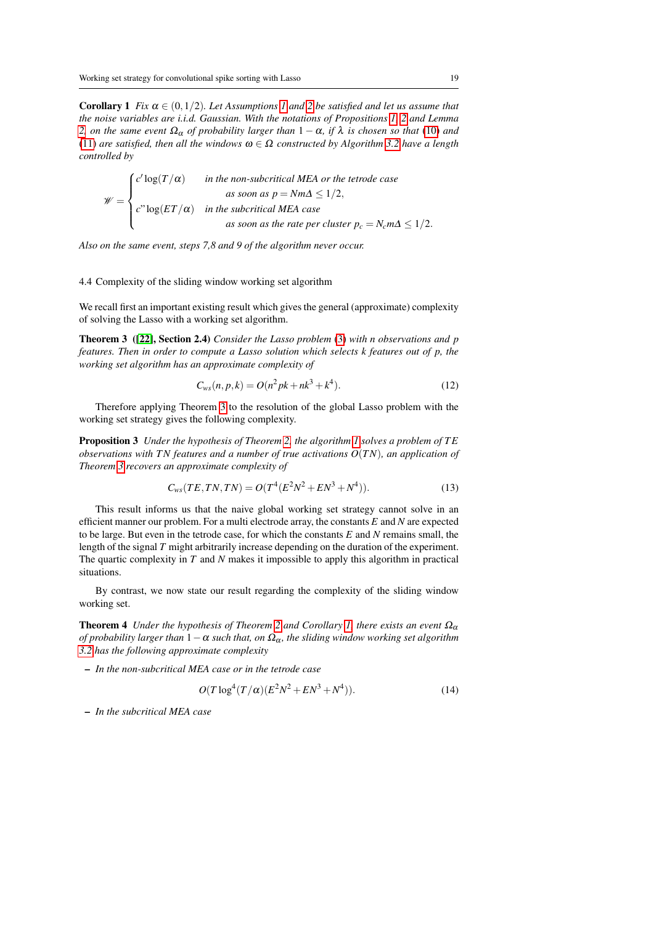**Corollary [1](#page-7-2)** *Fix*  $\alpha \in (0,1/2)$ *. Let Assumptions 1 and [2](#page-7-3) be satisfied and let us assume that the noise variables are i.i.d. Gaussian. With the notations of Propositions [1,](#page-14-2) [2](#page-15-0) and Lemma [2,](#page-16-0) on the same event*  $\Omega_{\alpha}$  *of probability larger than*  $1 - \alpha$ *, if*  $\lambda$  *is chosen so that* [\(10\)](#page-16-1) *and* [\(11\)](#page-16-2) *are satisfied, then all the windows*  $\omega \in \Omega$  *constructed by Algorithm* [3.2](#page-11-1) *have a length controlled by*

$$
\mathscr{W} = \begin{cases} c' \log(T/\alpha) & \text{in the non-subcritical MEA or the tetrode case} \\ c'' \log(ET/\alpha) & \text{in the subcritical MEA case} \\ c'' \log(ET/\alpha) & \text{in the subcritical MEA case} \end{cases} \quad \text{as soon as the rate per cluster } p_c = N_c m \Delta \le 1/2.
$$

*Also on the same event, steps 7,8 and 9 of the algorithm never occur.*

#### 4.4 Complexity of the sliding window working set algorithm

We recall first an important existing result which gives the general (approximate) complexity of solving the Lasso with a working set algorithm.

Theorem 3 ([\[22\]](#page-30-21), Section 2.4) *Consider the Lasso problem* [\(3\)](#page-5-3) *with n observations and p features. Then in order to compute a Lasso solution which selects k features out of p, the working set algorithm has an approximate complexity of*

<span id="page-18-0"></span>
$$
C_{ws}(n, p, k) = O(n^2pk + nk^3 + k^4).
$$
 (12)

Therefore applying Theorem [3](#page-18-0) to the resolution of the global Lasso problem with the working set strategy gives the following complexity.

<span id="page-18-1"></span>Proposition 3 *Under the hypothesis of Theorem [2,](#page-16-3) the algorithm [1](#page-6-0) solves a problem of T E observations with TN features and a number of true activations O*(*TN*)*, an application of Theorem [3](#page-18-0) recovers an approximate complexity of*

$$
C_{ws}(TE,TN,TN) = O(T^4(E^2N^2 + EN^3 + N^4)).
$$
\n(13)

This result informs us that the naive global working set strategy cannot solve in an efficient manner our problem. For a multi electrode array, the constants *E* and *N* are expected to be large. But even in the tetrode case, for which the constants *E* and *N* remains small, the length of the signal *T* might arbitrarily increase depending on the duration of the experiment. The quartic complexity in *T* and *N* makes it impossible to apply this algorithm in practical situations.

By contrast, we now state our result regarding the complexity of the sliding window working set.

<span id="page-18-2"></span>**Theorem 4** *Under the hypothesis of Theorem [2](#page-16-3) and Corollary [1,](#page-17-0) there exists an event*  $\Omega_{\alpha}$ *of probability larger than*  $1 − α$  *such that, on*  $Ω<sub>α</sub>$ *, the sliding window working set algorithm [3.2](#page-11-1) has the following approximate complexity*

– *In the non-subcritical MEA case or in the tetrode case*

<span id="page-18-3"></span>
$$
O(T \log^4(T/\alpha)(E^2 N^2 + E N^3 + N^4)).
$$
\n(14)

– *In the subcritical MEA case*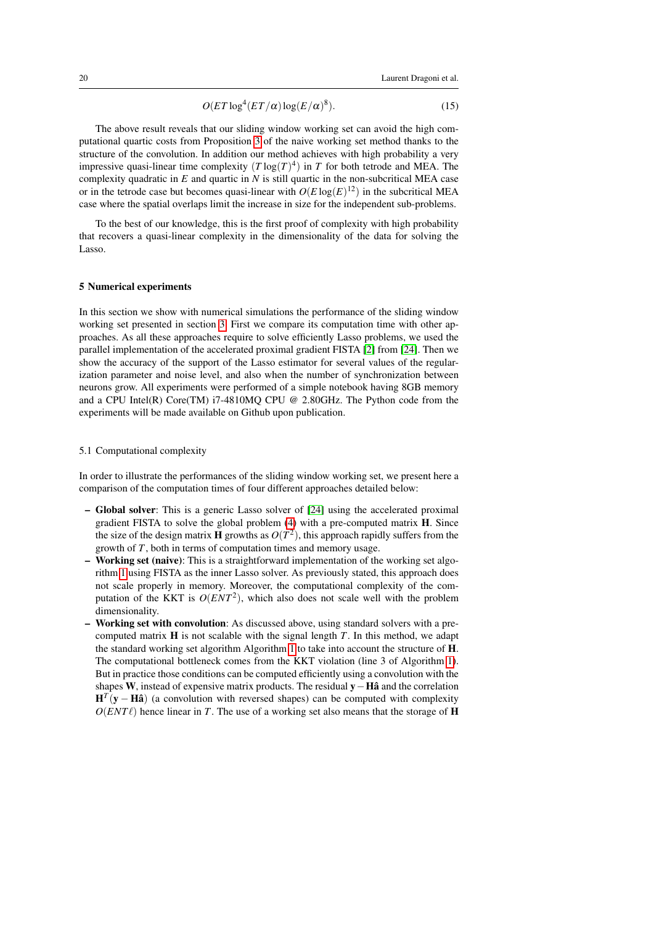<span id="page-19-1"></span>
$$
O(ET \log^4 (ET/\alpha) \log(E/\alpha)^8). \tag{15}
$$

The above result reveals that our sliding window working set can avoid the high computational quartic costs from Proposition [3](#page-18-1) of the naive working set method thanks to the structure of the convolution. In addition our method achieves with high probability a very impressive quasi-linear time complexity  $(T \log(T)^4)$  in *T* for both tetrode and MEA. The complexity quadratic in *E* and quartic in *N* is still quartic in the non-subcritical MEA case or in the tetrode case but becomes quasi-linear with  $O(E \log(E)^{12})$  in the subcritical MEA case where the spatial overlaps limit the increase in size for the independent sub-problems.

To the best of our knowledge, this is the first proof of complexity with high probability that recovers a quasi-linear complexity in the dimensionality of the data for solving the Lasso.

#### <span id="page-19-0"></span>5 Numerical experiments

In this section we show with numerical simulations the performance of the sliding window working set presented in section [3.](#page-8-0) First we compare its computation time with other approaches. As all these approaches require to solve efficiently Lasso problems, we used the parallel implementation of the accelerated proximal gradient FISTA [\[2\]](#page-29-8) from [\[24\]](#page-30-22). Then we show the accuracy of the support of the Lasso estimator for several values of the regularization parameter and noise level, and also when the number of synchronization between neurons grow. All experiments were performed of a simple notebook having 8GB memory and a CPU Intel(R) Core(TM)  $i7-4810MQ$  CPU @ 2.80GHz. The Python code from the experiments will be made available on Github upon publication.

#### 5.1 Computational complexity

In order to illustrate the performances of the sliding window working set, we present here a comparison of the computation times of four different approaches detailed below:

- Global solver: This is a generic Lasso solver of [\[24\]](#page-30-22) using the accelerated proximal gradient FISTA to solve the global problem  $(4)$  with a pre-computed matrix **H**. Since the size of the design matrix **H** growths as  $O(T^2)$ , this approach rapidly suffers from the growth of *T*, both in terms of computation times and memory usage.
- **Working set (naive)**: This is a straightforward implementation of the working set algorithm [1](#page-6-0) using FISTA as the inner Lasso solver. As previously stated, this approach does not scale properly in memory. Moreover, the computational complexity of the computation of the KKT is  $O(ENT^2)$ , which also does not scale well with the problem dimensionality.
- Working set with convolution: As discussed above, using standard solvers with a precomputed matrix H is not scalable with the signal length *T*. In this method, we adapt the standard working set algorithm Algorithm [1](#page-6-0) to take into account the structure of H. The computational bottleneck comes from the KKT violation (line 3 of Algorithm [1\)](#page-6-0). But in practice those conditions can be computed efficiently using a convolution with the shapes W, instead of expensive matrix products. The residual  $y - H\hat{a}$  and the correlation  $H<sup>T</sup>(y - Hâ)$  (a convolution with reversed shapes) can be computed with complexity  $O(ENT\ell)$  hence linear in *T*. The use of a working set also means that the storage of **H**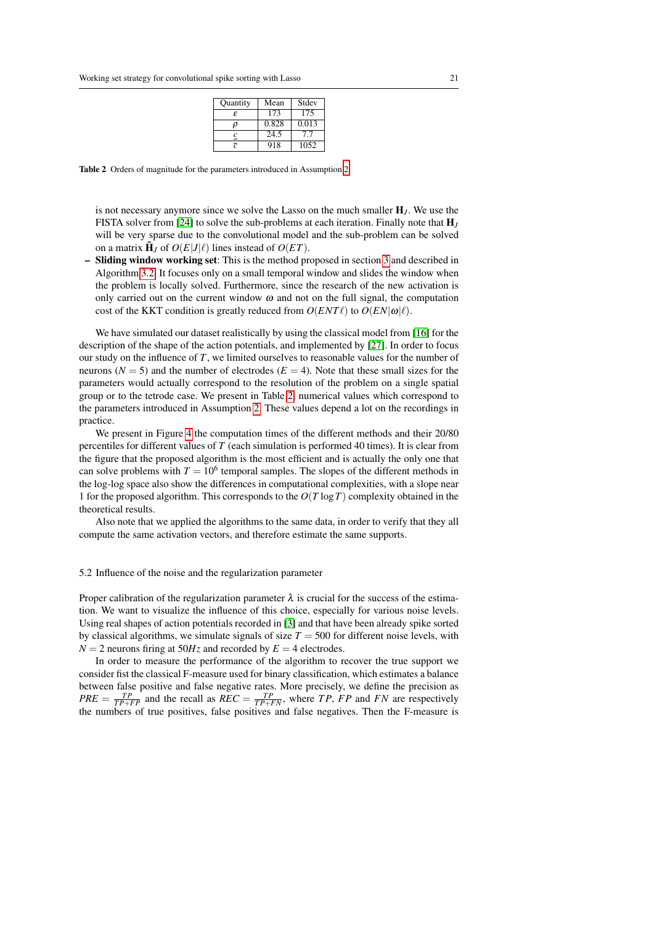| <b>Quantity</b> | Mean  | Stdev |
|-----------------|-------|-------|
| £               | 173   | 175   |
| ο               | 0.828 | 0.013 |
|                 | 24.5  | 77    |
|                 | 918   | 1052  |

Table 2 Orders of magnitude for the parameters introduced in Assumption [2.](#page-7-3)

is not necessary anymore since we solve the Lasso on the much smaller  $H_J$ . We use the FISTA solver from [\[24\]](#page-30-22) to solve the sub-problems at each iteration. Finally note that H*<sup>J</sup>* will be very sparse due to the convolutional model and the sub-problem can be solved on a matrix  $\tilde{\mathbf{H}}_J$  of  $O(E|J|\ell)$  lines instead of  $O(ET)$ .

– Sliding window working set: This is the method proposed in section [3](#page-8-0) and described in Algorithm [3.2.](#page-11-1) It focuses only on a small temporal window and slides the window when the problem is locally solved. Furthermore, since the research of the new activation is only carried out on the current window  $\omega$  and not on the full signal, the computation cost of the KKT condition is greatly reduced from  $O(ENT\ell)$  to  $O(EN|\omega|\ell)$ .

We have simulated our dataset realistically by using the classical model from [\[16\]](#page-30-23) for the description of the shape of the action potentials, and implemented by [\[27\]](#page-30-17). In order to focus our study on the influence of  $T$ , we limited ourselves to reasonable values for the number of neurons ( $N = 5$ ) and the number of electrodes ( $E = 4$ ). Note that these small sizes for the parameters would actually correspond to the resolution of the problem on a single spatial group or to the tetrode case. We present in Table [2,](#page-7-3) numerical values which correspond to the parameters introduced in Assumption [2.](#page-7-3) These values depend a lot on the recordings in practice.

We present in Figure [4](#page-21-0) the computation times of the different methods and their 20/80 percentiles for different values of *T* (each simulation is performed 40 times). It is clear from the figure that the proposed algorithm is the most efficient and is actually the only one that can solve problems with  $T = 10^6$  temporal samples. The slopes of the different methods in the log-log space also show the differences in computational complexities, with a slope near 1 for the proposed algorithm. This corresponds to the *O*(*T* log*T*) complexity obtained in the theoretical results.

Also note that we applied the algorithms to the same data, in order to verify that they all compute the same activation vectors, and therefore estimate the same supports.

#### <span id="page-20-0"></span>5.2 Influence of the noise and the regularization parameter

Proper calibration of the regularization parameter  $\lambda$  is crucial for the success of the estimation. We want to visualize the influence of this choice, especially for various noise levels. Using real shapes of action potentials recorded in [\[3\]](#page-29-9) and that have been already spike sorted by classical algorithms, we simulate signals of size  $T = 500$  for different noise levels, with  $N = 2$  neurons firing at  $50Hz$  and recorded by  $E = 4$  electrodes.

In order to measure the performance of the algorithm to recover the true support we consider fist the classical F-measure used for binary classification, which estimates a balance between false positive and false negative rates. More precisely, we define the precision as  $PRE = \frac{TP}{TP+FP}$  and the recall as  $REC = \frac{TP}{TP+FN}$ , where *TP*, *FP* and *FN* are respectively the numbers of true positives, false positives and false negatives. Then the F-measure is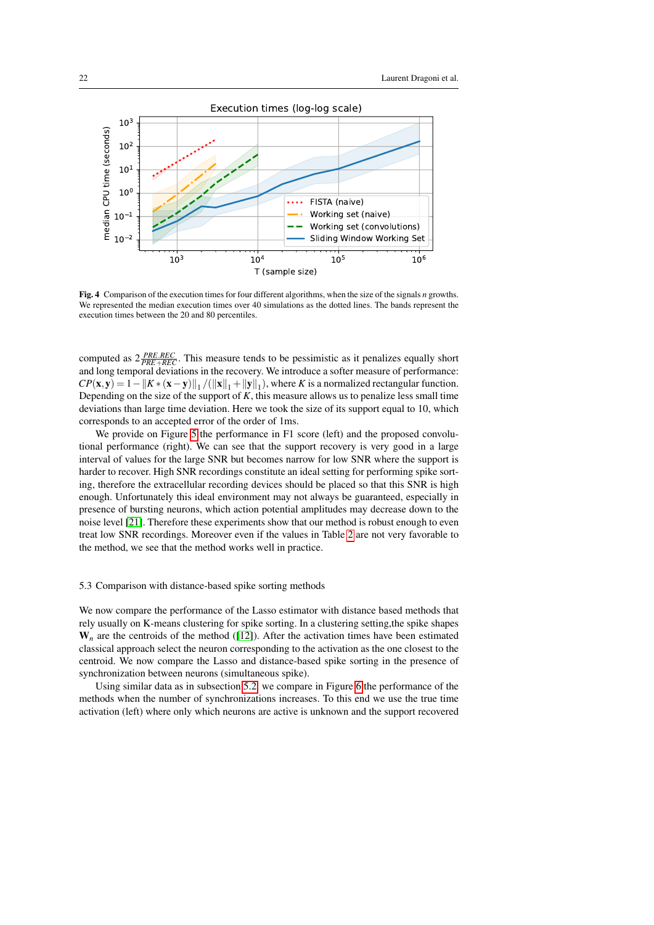

<span id="page-21-0"></span>Fig. 4 Comparison of the execution times for four different algorithms, when the size of the signals *n* growths. We represented the median execution times over 40 simulations as the dotted lines. The bands represent the execution times between the 20 and 80 percentiles.

computed as  $2 \frac{PRE.REC}{PRE + REC}$ . This measure tends to be pessimistic as it penalizes equally short and long temporal deviations in the recovery. We introduce a softer measure of performance:  $\text{CP}(\mathbf{x}, \mathbf{y}) = 1 - \|K \times (\mathbf{x} - \mathbf{y})\|_1 / (\|\mathbf{x}\|_1 + \|\mathbf{y}\|_1)$ , where *K* is a normalized rectangular function. Depending on the size of the support of  $K$ , this measure allows us to penalize less small time deviations than large time deviation. Here we took the size of its support equal to 10, which corresponds to an accepted error of the order of 1ms.

We provide on Figure [5](#page-22-1) the performance in F1 score (left) and the proposed convolutional performance (right). We can see that the support recovery is very good in a large interval of values for the large SNR but becomes narrow for low SNR where the support is harder to recover. High SNR recordings constitute an ideal setting for performing spike sorting, therefore the extracellular recording devices should be placed so that this SNR is high enough. Unfortunately this ideal environment may not always be guaranteed, especially in presence of bursting neurons, which action potential amplitudes may decrease down to the noise level [\[21\]](#page-30-2). Therefore these experiments show that our method is robust enough to even treat low SNR recordings. Moreover even if the values in Table [2](#page-7-3) are not very favorable to the method, we see that the method works well in practice.

# 5.3 Comparison with distance-based spike sorting methods

We now compare the performance of the Lasso estimator with distance based methods that rely usually on K-means clustering for spike sorting. In a clustering setting,the spike shapes  $W_n$  are the centroids of the method ([\[12\]](#page-30-4)). After the activation times have been estimated classical approach select the neuron corresponding to the activation as the one closest to the centroid. We now compare the Lasso and distance-based spike sorting in the presence of synchronization between neurons (simultaneous spike).

Using similar data as in subsection [5.2,](#page-20-0) we compare in Figure [6](#page-22-2) the performance of the methods when the number of synchronizations increases. To this end we use the true time activation (left) where only which neurons are active is unknown and the support recovered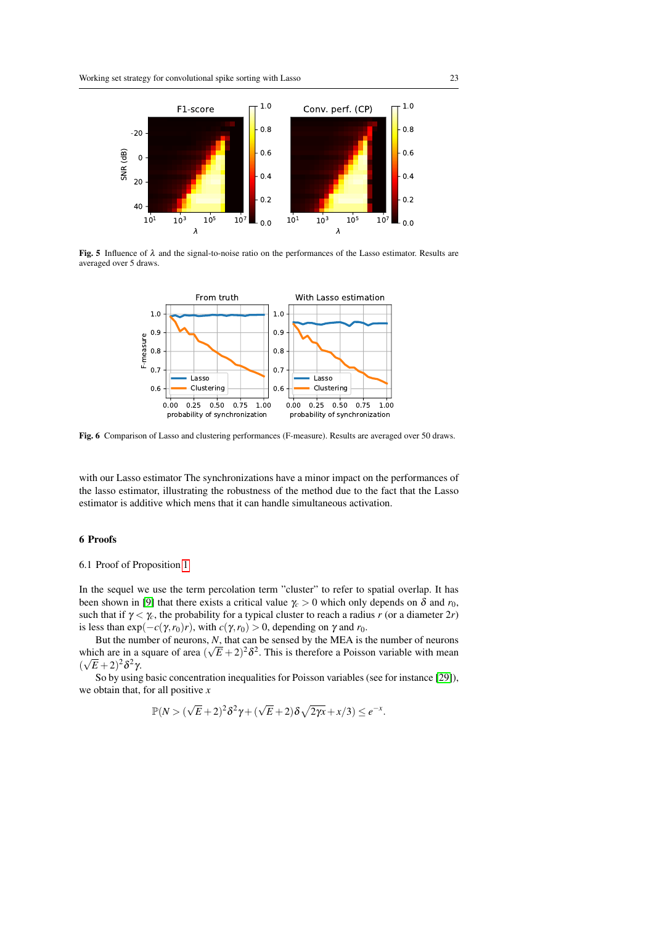

Fig. 5 Influence of  $\lambda$  and the signal-to-noise ratio on the performances of the Lasso estimator. Results are averaged over 5 draws.

<span id="page-22-2"></span><span id="page-22-1"></span>

Fig. 6 Comparison of Lasso and clustering performances (F-measure). Results are averaged over 50 draws.

with our Lasso estimator The synchronizations have a minor impact on the performances of the lasso estimator, illustrating the robustness of the method due to the fact that the Lasso estimator is additive which mens that it can handle simultaneous activation.

# 6 Proofs

#### <span id="page-22-0"></span>6.1 Proof of Proposition [1](#page-14-2)

In the sequel we use the term percolation term "cluster" to refer to spatial overlap. It has been shown in [\[9\]](#page-29-7) that there exists a critical value  $\gamma_c > 0$  which only depends on  $\delta$  and  $r_0$ , such that if  $\gamma < \gamma_c$ , the probability for a typical cluster to reach a radius *r* (or a diameter 2*r*) is less than  $exp(-c(\gamma, r_0)r)$ , with  $c(\gamma, r_0) > 0$ , depending on  $\gamma$  and  $r_0$ .

But the number of neurons,  $N$ , that can be sensed by the MEA is the number of neurons which are in a square of area  $(\sqrt{E} + 2)^2 \delta^2$ . This is therefore a Poisson variable with mean  $(\sqrt{E}+2)^2\delta^2\gamma$ .

So by using basic concentration inequalities for Poisson variables (see for instance [\[29\]](#page-30-24)), we obtain that, for all positive *x*

$$
\mathbb{P}(N > (\sqrt{E} + 2)^2 \delta^2 \gamma + (\sqrt{E} + 2)\delta \sqrt{2\gamma x} + x/3) \le e^{-x}.
$$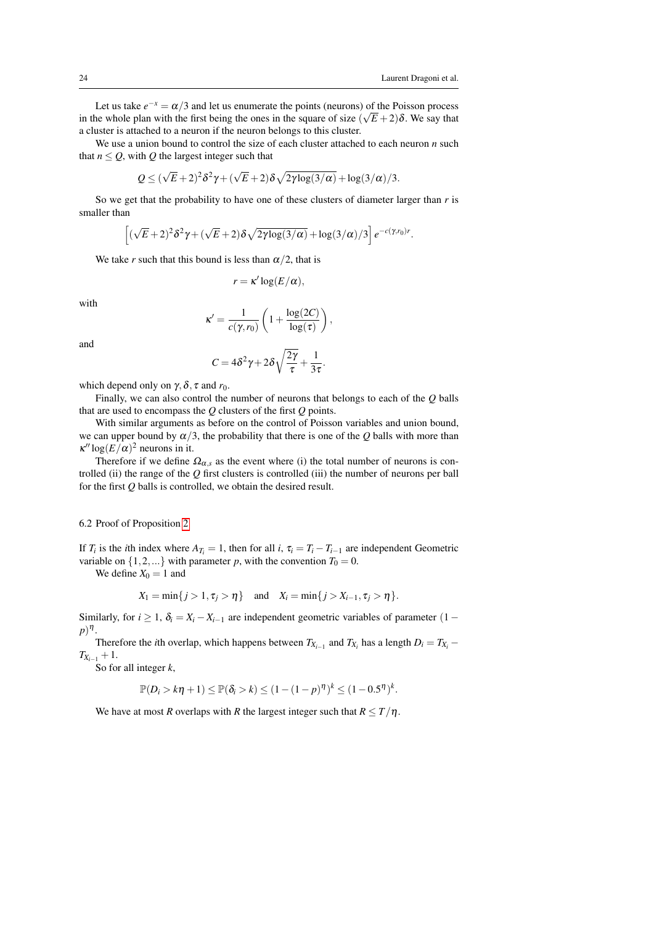Let us take  $e^{-x} = \alpha/3$  and let us enumerate the points (neurons) of the Poisson process in the whole plan with the first being the ones in the square of size  $(\sqrt{E} + 2)\delta$ . We say that a cluster is attached to a neuron if the neuron belongs to this cluster.

We use a union bound to control the size of each cluster attached to each neuron *n* such that  $n \le Q$ , with  $Q$  the largest integer such that

$$
Q \leq (\sqrt{E} + 2)^2 \delta^2 \gamma + (\sqrt{E} + 2) \delta \sqrt{2 \gamma \log(3/\alpha)} + \log(3/\alpha)/3.
$$

So we get that the probability to have one of these clusters of diameter larger than *r* is smaller than

$$
\left[ (\sqrt{E}+2)^2 \delta^2 \gamma + (\sqrt{E}+2) \delta \sqrt{2 \gamma \log(3/\alpha)} + \log(3/\alpha)/3 \right] e^{-c(\gamma, r_0)r}.
$$

We take *r* such that this bound is less than  $\alpha/2$ , that is

$$
r = \kappa' \log(E/\alpha),
$$

with

$$
\kappa' = \frac{1}{c(\gamma, r_0)} \left( 1 + \frac{\log(2C)}{\log(\tau)} \right)
$$

,

.

and

$$
C = 4\delta^2 \gamma + 2\delta \sqrt{\frac{2\gamma}{\tau}} + \frac{1}{3\tau}
$$

which depend only on  $\gamma$ ,  $\delta$ ,  $\tau$  and  $r_0$ .

Finally, we can also control the number of neurons that belongs to each of the *Q* balls that are used to encompass the *Q* clusters of the first *Q* points.

With similar arguments as before on the control of Poisson variables and union bound, we can upper bound by  $\alpha/3$ , the probability that there is one of the *Q* balls with more than  $\kappa'' \log(E/\alpha)^2$  neurons in it.

Therefore if we define  $\Omega_{\alpha,s}$  as the event where (i) the total number of neurons is controlled (ii) the range of the *Q* first clusters is controlled (iii) the number of neurons per ball for the first *Q* balls is controlled, we obtain the desired result.

#### <span id="page-23-0"></span>6.2 Proof of Proposition [2](#page-15-0)

If  $T_i$  is the *i*th index where  $A_{T_i} = 1$ , then for all *i*,  $\tau_i = T_i - T_{i-1}$  are independent Geometric variable on  $\{1, 2, ...\}$  with parameter *p*, with the convention  $T_0 = 0$ .

We define  $X_0 = 1$  and

$$
X_1 = \min\{j > 1, \tau_j > \eta\}
$$
 and  $X_i = \min\{j > X_{i-1}, \tau_j > \eta\}.$ 

Similarly, for  $i \geq 1$ ,  $\delta_i = X_i - X_{i-1}$  are independent geometric variables of parameter (1 −  $(p)$ <sup> $\eta$ </sup>.

Therefore the *i*th overlap, which happens between  $T_{X_{i-1}}$  and  $T_{X_i}$  has a length  $D_i = T_{X_i}$  −  $T_{X_{i-1}} + 1$ .

So for all integer *k*,

$$
\mathbb{P}(D_i > k\eta + 1) \le \mathbb{P}(\delta_i > k) \le (1 - (1 - p)^{\eta})^k \le (1 - 0.5^{\eta})^k.
$$

We have at most *R* overlaps with *R* the largest integer such that  $R \leq T/\eta$ .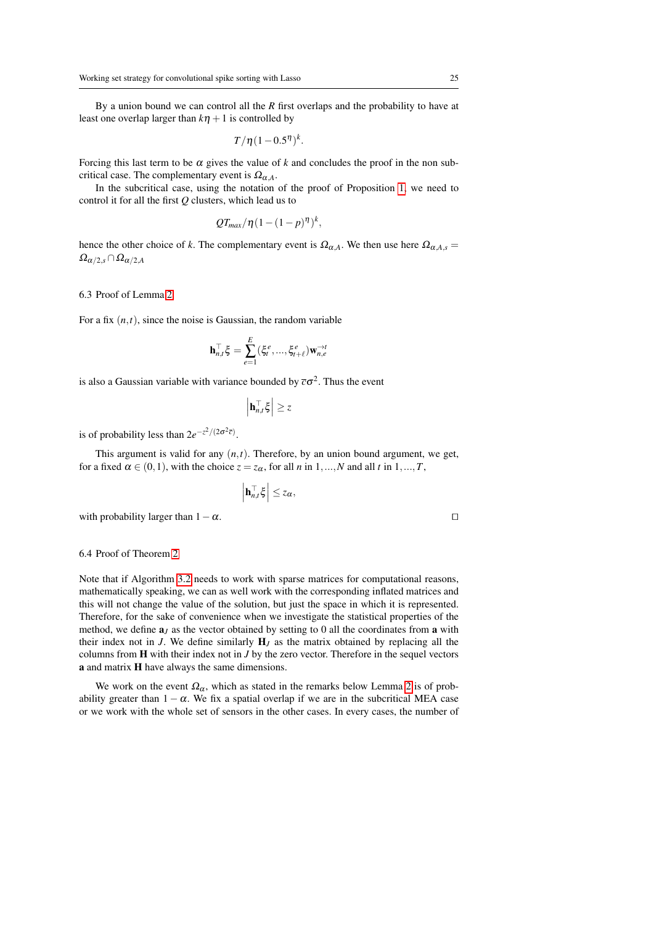By a union bound we can control all the *R* first overlaps and the probability to have at least one overlap larger than  $k\eta + 1$  is controlled by

$$
T/\eta (1-0.5^{\eta})^k.
$$

Forcing this last term to be  $\alpha$  gives the value of  $k$  and concludes the proof in the non subcritical case. The complementary event is  $\Omega_{\alpha A}$ .

In the subcritical case, using the notation of the proof of Proposition [1,](#page-14-2) we need to control it for all the first *Q* clusters, which lead us to

$$
QT_{max}/\eta(1-(1-p)^{\eta})^k,
$$

hence the other choice of *k*. The complementary event is  $\Omega_{\alpha A}$ . We then use here  $\Omega_{\alpha A,s}$  $\Omega_{\alpha/2,s} \cap \Omega_{\alpha/2,A}$ 

<span id="page-24-0"></span>6.3 Proof of Lemma [2](#page-16-0)

For a fix  $(n,t)$ , since the noise is Gaussian, the random variable

$$
\mathbf{h}_{n,t}^{\top} \boldsymbol{\xi} = \sum_{e=1}^E (\xi_t^e,...,\xi_{t+\ell}^e) \mathbf{w}_{n,e}^{\rightarrow t}
$$

is also a Gaussian variable with variance bounded by  $\bar{c}\sigma^2$ . Thus the event

$$
\left|\mathbf{h}_{n,t}^{\top}\boldsymbol{\xi}\right|\geq z
$$

is of probability less than  $2e^{-z^2/(2\sigma^2 \overline{c})}$ .

This argument is valid for any  $(n, t)$ . Therefore, by an union bound argument, we get, for a fixed  $\alpha \in (0,1)$ , with the choice  $z = z_\alpha$ , for all *n* in 1,...,*N* and all *t* in 1,...,*T*,

$$
\left|\mathbf{h}_{n,t}^{\top}\boldsymbol{\xi}\right| \leq z_{\alpha},
$$

with probability larger than  $1-\alpha$ .

#### <span id="page-24-1"></span>6.4 Proof of Theorem [2](#page-16-3)

Note that if Algorithm [3.2](#page-11-1) needs to work with sparse matrices for computational reasons, mathematically speaking, we can as well work with the corresponding inflated matrices and this will not change the value of the solution, but just the space in which it is represented. Therefore, for the sake of convenience when we investigate the statistical properties of the method, we define  $a_j$  as the vector obtained by setting to 0 all the coordinates from a with their index not in  $J$ . We define similarly  $H_J$  as the matrix obtained by replacing all the columns from H with their index not in *J* by the zero vector. Therefore in the sequel vectors a and matrix H have always the same dimensions.

We work on the event  $\Omega_{\alpha}$ , which as stated in the remarks below Lemma [2](#page-16-0) is of probability greater than  $1 - \alpha$ . We fix a spatial overlap if we are in the subcritical MEA case or we work with the whole set of sensors in the other cases. In every cases, the number of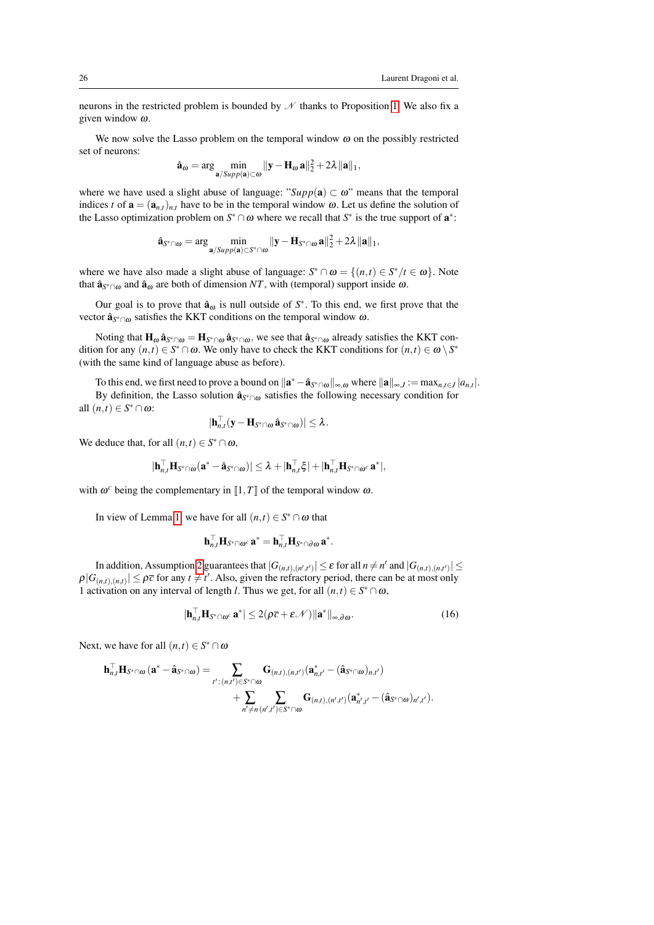neurons in the restricted problem is bounded by  $\mathcal N$  thanks to Proposition [1.](#page-14-2) We also fix a given window ω.

We now solve the Lasso problem on the temporal window  $\omega$  on the possibly restricted set of neurons:

$$
\hat{\mathbf{a}}_{\omega} = \arg\min_{\mathbf{a}/\text{Supp}(\mathbf{a}) \subset \omega} \|\mathbf{y} - \mathbf{H}_{\omega}\mathbf{a}\|_{2}^{2} + 2\lambda \|\mathbf{a}\|_{1},
$$

where we have used a slight abuse of language: " $Supp(a) \subset \omega$ " means that the temporal indices *t* of  $\mathbf{a} = (\mathbf{a}_{n,t})_{n,t}$  have to be in the temporal window  $\omega$ . Let us define the solution of the Lasso optimization problem on  $S^* \cap \omega$  where we recall that  $S^*$  is the true support of  $\mathbf{a}^*$ :

$$
\hat{\mathbf{a}}_{S^*\cap\omega} = \arg\min_{\mathbf{a}/\text{Supp}(\mathbf{a}) \subset S^*\cap\omega} \|\mathbf{y} - \mathbf{H}_{S^*\cap\omega}\mathbf{a}\|_2^2 + 2\lambda \|\mathbf{a}\|_1,
$$

where we have also made a slight abuse of language:  $S^* \cap \omega = \{(n,t) \in S^* / t \in \omega\}$ . Note that  $\hat{\mathbf{a}}_{S^* \cap \omega}$  and  $\hat{\mathbf{a}}_{\omega}$  are both of dimension *NT*, with (temporal) support inside  $\omega$ .

Our goal is to prove that  $\hat{a}_{\omega}$  is null outside of  $S^*$ . To this end, we first prove that the vector  $\hat{\mathbf{a}}_{S^*\cap \omega}$  satisfies the KKT conditions on the temporal window  $\omega$ .

Noting that  $H_\omega \hat{\bf a}_{S^*\cap\omega} = H_{S^*\cap\omega} \hat{\bf a}_{S^*\cap\omega}$ , we see that  $\hat{\bf a}_{S^*\cap\omega}$  already satisfies the KKT condition for any  $(n,t) \in S^* \cap \omega$ . We only have to check the KKT conditions for  $(n,t) \in \omega \setminus S^*$ (with the same kind of language abuse as before).

To this end, we first need to prove a bound on  $\|\mathbf{a}^* - \hat{\mathbf{a}}_{S^* \cap \omega}\|_{\infty, \omega}$  where  $\|\mathbf{a}\|_{\infty, J} := \max_{n, t \in J} |a_{n,t}|$ . By definition, the Lasso solution  $\hat{\mathbf{a}}_{S^* \cap \omega}$  satisfies the following necessary condition for all  $(n,t) \in S^* \cap \omega$ :

$$
|\mathbf{h}_{n,t}^{\top}(\mathbf{y}-\mathbf{H}_{S^*\cap\omega}\,\hat{\mathbf{a}}_{S^*\cap\omega})|\leq\lambda.
$$

We deduce that, for all  $(n,t) \in S^* \cap \omega$ ,

$$
|\mathbf{h}_{n,t}^\top \mathbf{H}_{S^* \cap \omega}(\mathbf{a}^* - \hat{\mathbf{a}}_{S^* \cap \omega})| \leq \lambda + |\mathbf{h}_{n,t}^\top \xi| + |\mathbf{h}_{n,t}^\top \mathbf{H}_{S^* \cap \omega^c} \mathbf{a}^*|,
$$

with  $\omega^c$  being the complementary in  $\llbracket 1, T \rrbracket$  of the temporal window  $\omega$ .

In view of Lemma [1,](#page-7-4) we have for all  $(n,t) \in S^* \cap \omega$  that

<span id="page-25-0"></span>
$$
\mathbf{h}_{n,t}^\top \mathbf{H}_{S^* \cap \omega^c} \, \mathbf{a}^* = \mathbf{h}_{n,t}^\top \mathbf{H}_{S^* \cap \partial \omega} \, \mathbf{a}^*.
$$

In addition, Assumption [2](#page-7-3) guarantees that  $|G_{(n,t),(n',t')}|\leq \varepsilon$  for all  $n\neq n'$  and  $|G_{(n,t),(n,t')}|\leq$  $\rho|G_{(n,t),(n,t)}| \leq \rho \bar{c}$  for any  $t \neq t'$ . Also, given the refractory period, there can be at most only 1 activation on any interval of length *l*. Thus we get, for all  $(n,t) \in S^* \cap \omega$ ,

$$
|\mathbf{h}_{n,t}^{\top} \mathbf{H}_{\mathbf{S}^* \cap \omega^c} \mathbf{a}^*| \le 2(\rho \overline{c} + \varepsilon \mathcal{N}) ||\mathbf{a}^*||_{\infty, \partial \omega}.
$$
 (16)

Next, we have for all  $(n,t) \in S^* \cap \omega$ 

$$
\begin{aligned} \mathbf{h}_{n,t}^\top \mathbf{H}_{S^*\cap \omega}\left(\mathbf{a}^* - \hat{\mathbf{a}}_{S^*\cap \omega}\right) = & \sum_{t':\, (n,t') \in S^*\cap \omega} \mathbf{G}_{(n,t),(n,t')}(\mathbf{a}_{n,t'}^* - (\hat{\mathbf{a}}_{S^*\cap \omega})_{n,t'}) \\ & + \sum_{n' \neq n} \sum_{(n',t') \in S^*\cap \omega} \mathbf{G}_{(n,t),(n',t')}(\mathbf{a}_{n',t'}^* - (\hat{\mathbf{a}}_{S^*\cap \omega})_{n',t'}). \end{aligned}
$$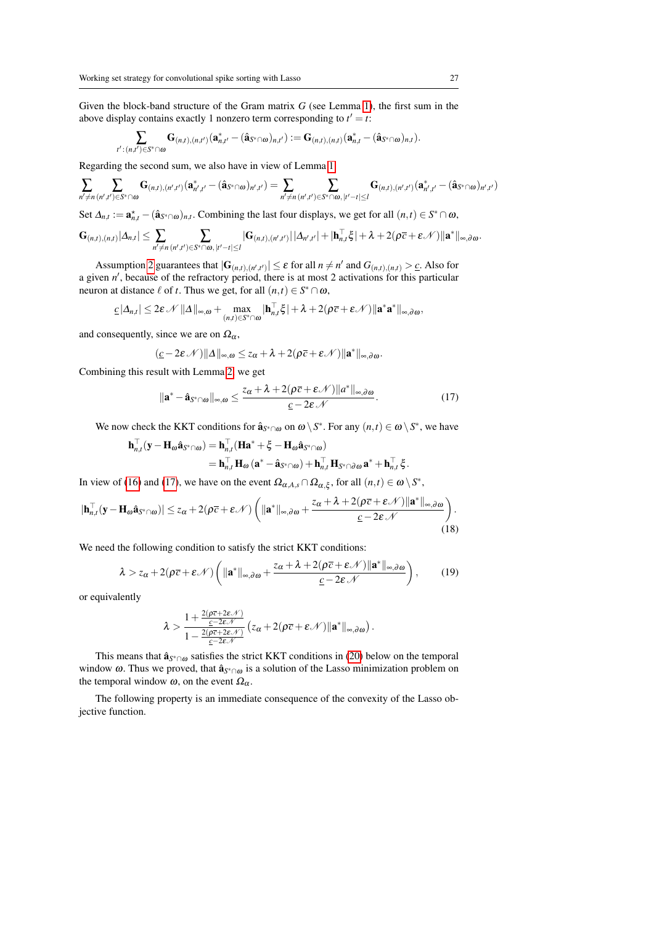Given the block-band structure of the Gram matrix *G* (see Lemma [1\)](#page-7-4), the first sum in the above display contains exactly 1 nonzero term corresponding to  $t' = t$ :

$$
\sum_{t':(n,t')\in S^*\cap \omega} {\bf G}_{(n,t),(n,t')}({\bf a}_{n,t'}^*-(\hat{{\bf a}}_{S^*\cap \omega})_{n,t'}):={\bf G}_{(n,t),(n,t)}({\bf a}_{n,t}^*-(\hat{{\bf a}}_{S^*\cap \omega})_{n,t}).
$$

Regarding the second sum, we also have in view of Lemma [1:](#page-7-4)

$$
\sum_{n'\neq n} \sum_{(n',t')\in S^*\cap \omega} {\bf G}_{(n,t),(n',t')} ({\bf a}^*_{n',t'}-(\hat{\bf a}_{S^*\cap \omega})_{n',t'})=\sum_{n'\neq n} \sum_{(n',t')\in S^*\cap \omega, |t'-t|\leq l} {\bf G}_{(n,t),(n',t')} ({\bf a}^*_{n',t'}-(\hat{\bf a}_{S^*\cap \omega})_{n',t'})
$$

Set  $\Delta_{n,t} := \mathbf{a}_{n,t}^{\star} - (\hat{\mathbf{a}}_{S^*\cap\omega})_{n,t}$ . Combining the last four displays, we get for all  $(n,t) \in S^*\cap\omega$ ,

$$
\mathbf{G}_{(n,t),(n,t)}|\Delta_{n,t}|\leq \sum_{n'\neq n}\sum_{(n',t')\in S^*(\cap\omega,\,|t'-t|\leq l}|\mathbf{G}_{(n,t),(n',t')}|\,|\Delta_{n',t'}|+|\mathbf{h}_{n,t}^{\top}\xi|+\lambda+2(\rho\overline{c}+\varepsilon\mathcal{N})\|\mathbf{a}^*\|_{\infty,\partial\omega}.
$$

Assumption [2](#page-7-3) guarantees that  $|\mathbf{G}_{(n,t),(n',t')}| \leq \varepsilon$  for all  $n \neq n'$  and  $G_{(n,t),(n,t)} > \underline{c}$ . Also for a given *n'*, because of the refractory period, there is at most 2 activations for this particular neuron at distance  $\ell$  of *t*. Thus we get, for all  $(n,t) \in S^* \cap \omega$ ,

$$
\underline{c} |\Delta_{n,t}| \leq 2\varepsilon \mathscr{N} \|\Delta\|_{\infty,\omega} + \max_{(n,t)\in S^* \cap \omega} |\mathbf{h}_{n,t}^\top \xi| + \lambda + 2(\rho \overline{c} + \varepsilon \mathscr{N}) \|\mathbf{a}^*\mathbf{a}^*\|_{\infty,\partial\omega},
$$

and consequently, since we are on  $\Omega_{\alpha}$ ,

$$
(\underline{c}-2\epsilon\,\mathscr{N})\|\Delta\|_{\infty,\omega}\leq z_\alpha+\lambda+2(\rho\overline{c}+\epsilon\,\mathscr{N})\|\mathbf{a}^*\|_{\infty,\partial\omega}.
$$

Combining this result with Lemma [2,](#page-16-0) we get

<span id="page-26-0"></span>
$$
\|\mathbf{a}^* - \hat{\mathbf{a}}_{S^* \cap \omega}\|_{\infty, \omega} \le \frac{z_{\alpha} + \lambda + 2(\rho \overline{c} + \varepsilon \mathcal{N}) \|a^*\|_{\infty, \partial \omega}}{\underline{c} - 2\varepsilon \mathcal{N}}.
$$
\n(17)

We now check the KKT conditions for  $\hat{\mathbf{a}}_{S^*\cap\omega}$  on  $\omega \setminus S^*$ . For any  $(n,t) \in \omega \setminus S^*$ , we have

$$
\begin{aligned} \mathbf{h}_{n,t}^{\top}(\mathbf{y}-\mathbf{H}_{\omega}\hat{\mathbf{a}}_{S^*\cap\omega})&=\mathbf{h}_{n,t}^{\top}(\mathbf{H}\mathbf{a}^*+\boldsymbol{\xi}-\mathbf{H}_{\omega}\hat{\mathbf{a}}_{S^*\cap\omega})\\&=\mathbf{h}_{n,t}^{\top}\mathbf{H}_{\omega}\left(\mathbf{a}^*-\hat{\mathbf{a}}_{S^*\cap\omega}\right)+\mathbf{h}_{n,t}^{\top}\mathbf{H}_{S^*\cap\partial\omega}\mathbf{a}^*+\mathbf{h}_{n,t}^{\top}\boldsymbol{\xi}\,.\end{aligned}
$$

In view of [\(16\)](#page-25-0) and [\(17\)](#page-26-0), we have on the event  $\Omega_{\alpha, A, s} \cap \Omega_{\alpha, \xi}$ , for all  $(n, t) \in \omega \setminus S^*$ ,

$$
|\mathbf{h}_{n,t}^{\top}(\mathbf{y}-\mathbf{H}_{\omega}\hat{\mathbf{a}}_{S^*\cap\omega})|\leq z_{\alpha}+2(\rho\overline{c}+\varepsilon\mathcal{N})\left(||\mathbf{a}^*||_{\infty,\partial\omega}+\frac{z_{\alpha}+\lambda+2(\rho\overline{c}+\varepsilon\mathcal{N})||\mathbf{a}^*||_{\infty,\partial\omega}}{\underline{c}-2\varepsilon\mathcal{N}}\right).
$$
\n(18)

We need the following condition to satisfy the strict KKT conditions:

$$
\lambda > z_{\alpha} + 2(\rho \overline{c} + \varepsilon \mathscr{N}) \left( \|\mathbf{a}^*\|_{\infty, \partial \omega} + \frac{z_{\alpha} + \lambda + 2(\rho \overline{c} + \varepsilon \mathscr{N}) \|\mathbf{a}^*\|_{\infty, \partial \omega}}{\underline{c} - 2\varepsilon \mathscr{N}} \right),
$$
 (19)

or equivalently

$$
\lambda > \frac{1 + \frac{2(\rho \overline{c} + 2 \epsilon \mathcal{N})}{\underline{c} - 2 \epsilon \mathcal{N}}}{1 - \frac{2(\rho \overline{c} + 2 \epsilon \mathcal{N})}{\underline{c} - 2 \epsilon \mathcal{N}}} (z_{\alpha} + 2(\rho \overline{c} + \epsilon \mathcal{N}) || \mathbf{a}^* ||_{\infty, \partial \omega}).
$$

This means that  $\hat{\mathbf{a}}_{S^*\cap \omega}$  satisfies the strict KKT conditions in [\(20\)](#page-27-0) below on the temporal window ω. Thus we proved, that  $\hat{\mathbf{a}}_{S^* \cap \omega}$  is a solution of the Lasso minimization problem on the temporal window  $\omega$ , on the event  $\Omega_{\alpha}$ .

<span id="page-26-1"></span>The following property is an immediate consequence of the convexity of the Lasso objective function.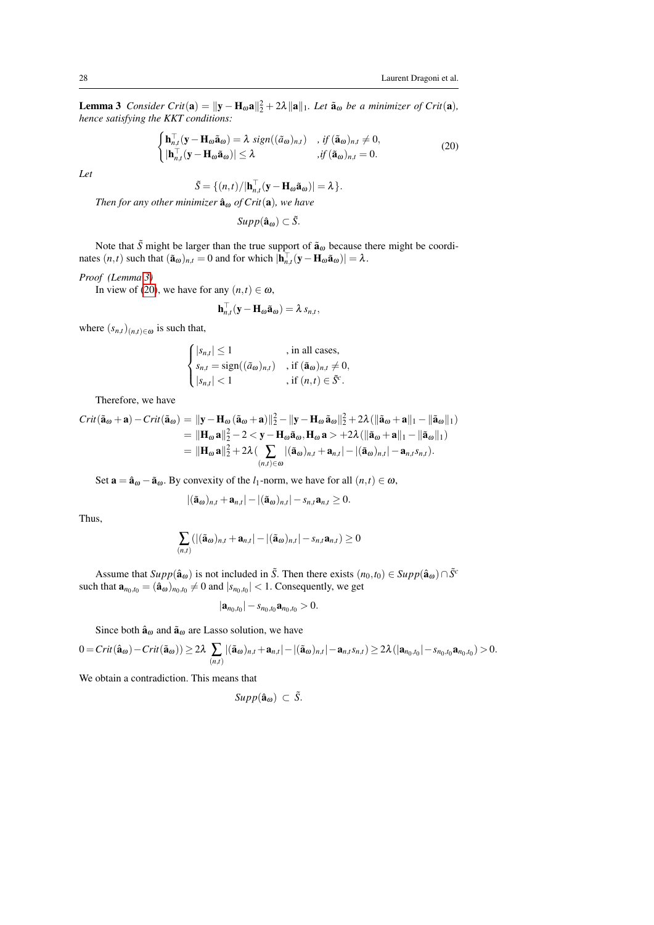**Lemma 3** *Consider Crit*( $\mathbf{a}$ ) =  $\|\mathbf{y} - \mathbf{H}_{\omega}\mathbf{a}\|_{2}^{2} + 2\lambda \|\mathbf{a}\|_{1}$ *. Let*  $\tilde{\mathbf{a}}_{\omega}$  *be a minimizer of Crit*( $\mathbf{a}$ *)*, *hence satisfying the KKT conditions:*

<span id="page-27-0"></span>
$$
\begin{cases}\n\mathbf{h}_{n,t}^{\top}(\mathbf{y}-\mathbf{H}_{\omega}\tilde{\mathbf{a}}_{\omega})=\lambda \ \operatorname{sign}((\tilde{a}_{\omega})_{n,t}) & , \text{ if } (\tilde{\mathbf{a}}_{\omega})_{n,t}\neq 0, \\
|\mathbf{h}_{n,t}^{\top}(\mathbf{y}-\mathbf{H}_{\omega}\tilde{\mathbf{a}}_{\omega})|\leq \lambda & , \text{ if } (\tilde{\mathbf{a}}_{\omega})_{n,t}=0.\n\end{cases}
$$
\n(20)

*Let*

$$
\tilde{S} = \{ (n,t) / |\mathbf{h}_{n,t}^{\top} (\mathbf{y} - \mathbf{H}_{\omega} \tilde{\mathbf{a}}_{\omega})| = \lambda \}.
$$

*Then for any other minimizer*  $\hat{\mathbf{a}}_{\omega}$  *of Crit*( $\mathbf{a}$ )*, we have* 

 $Supp(\hat{\mathbf{a}}_{\omega}) \subset \tilde{S}$ .

Note that  $\tilde{S}$  might be larger than the true support of  $\tilde{a}_\omega$  because there might be coordinates  $(n,t)$  such that  $(\tilde{\mathbf{a}}_{\omega})_{n,t} = 0$  and for which  $|\mathbf{h}_{n,t}^{\top}(\mathbf{y} - \mathbf{H}_{\omega} \tilde{\mathbf{a}}_{\omega})| = \lambda$ .

#### *Proof (Lemma [3\)](#page-26-1)*

In view of [\(20\)](#page-27-0), we have for any  $(n,t) \in \omega$ ,

$$
\mathbf{h}_{n,t}^{\top}(\mathbf{y}-\mathbf{H}_{\boldsymbol{\omega}}\tilde{\mathbf{a}}_{\boldsymbol{\omega}})=\lambda \, s_{n,t},
$$

where  $(s_{n,t})_{(n,t)\in\omega}$  is such that,

$$
\begin{cases} |s_{n,t}| \le 1 & , \text{ in all cases,} \\ s_{n,t} = \text{sign}((\tilde{a}_{\omega})_{n,t}) & , \text{ if } (\tilde{\mathbf{a}}_{\omega})_{n,t} \ne 0, \\ |s_{n,t}| < 1 & , \text{ if } (n,t) \in \tilde{S}^c. \end{cases}
$$

Therefore, we have

$$
Crit(\tilde{\mathbf{a}}_{\omega} + \mathbf{a}) - Crit(\tilde{\mathbf{a}}_{\omega}) = ||\mathbf{y} - \mathbf{H}_{\omega}(\tilde{\mathbf{a}}_{\omega} + \mathbf{a})||_2^2 - ||\mathbf{y} - \mathbf{H}_{\omega}\tilde{\mathbf{a}}_{\omega}||_2^2 + 2\lambda(||\tilde{\mathbf{a}}_{\omega} + \mathbf{a}||_1 - ||\tilde{\mathbf{a}}_{\omega}||_1)
$$
  
\n
$$
= ||\mathbf{H}_{\omega}\mathbf{a}||_2^2 - 2 < \mathbf{y} - \mathbf{H}_{\omega}\tilde{\mathbf{a}}_{\omega}, \mathbf{H}_{\omega}\mathbf{a} > +2\lambda(||\tilde{\mathbf{a}}_{\omega} + \mathbf{a}||_1 - ||\tilde{\mathbf{a}}_{\omega}||_1)
$$
  
\n
$$
= ||\mathbf{H}_{\omega}\mathbf{a}||_2^2 + 2\lambda(\sum_{(n,t)\in\omega} |(\tilde{\mathbf{a}}_{\omega})_{n,t} + \mathbf{a}_{n,t}| - |(\tilde{\mathbf{a}}_{\omega})_{n,t}| - \mathbf{a}_{n,t}s_{n,t}).
$$

Set  $\mathbf{a} = \hat{\mathbf{a}}_{\omega} - \tilde{\mathbf{a}}_{\omega}$ . By convexity of the *l*<sub>1</sub>-norm, we have for all  $(n, t) \in \omega$ ,

$$
|(\tilde{\mathbf{a}}_{\omega})_{n,t}+\mathbf{a}_{n,t}|-|(\tilde{\mathbf{a}}_{\omega})_{n,t}|-s_{n,t}\mathbf{a}_{n,t}\geq 0.
$$

Thus,

$$
\sum_{(n,t)}(|(\tilde{\mathbf{a}}_{\omega})_{n,t}+\mathbf{a}_{n,t}|-|(\tilde{\mathbf{a}}_{\omega})_{n,t}|-s_{n,t}\mathbf{a}_{n,t})\geq 0
$$

Assume that  $Supp(\hat{a}_{\omega})$  is not included in  $\tilde{S}$ . Then there exists  $(n_0,t_0) \in Supp(\hat{a}_{\omega}) \cap \tilde{S}^c$ such that  $\mathbf{a}_{n_0,t_0} = (\hat{\mathbf{a}}_{\omega})_{n_0,t_0} \neq 0$  and  $|s_{n_0,t_0}| < 1$ . Consequently, we get

$$
|\mathbf{a}_{n_0,t_0}|-s_{n_0,t_0}\mathbf{a}_{n_0,t_0}>0.
$$

Since both  $\hat{\mathbf{a}}_{\omega}$  and  $\tilde{\mathbf{a}}_{\omega}$  are Lasso solution, we have

$$
0 = Crit(\hat{\mathbf{a}}_{\omega}) - Crit(\tilde{\mathbf{a}}_{\omega})) \geq 2\lambda \sum_{(n,t)} |(\tilde{\mathbf{a}}_{\omega})_{n,t} + \mathbf{a}_{n,t}| - |(\tilde{\mathbf{a}}_{\omega})_{n,t}| - \mathbf{a}_{n,t} s_{n,t}| \geq 2\lambda (|\mathbf{a}_{n_0,t_0}| - s_{n_0,t_0} \mathbf{a}_{n_0,t_0}) > 0.
$$

We obtain a contradiction. This means that

$$
Supp(\hat{\mathbf{a}}_{\omega}) \subset \tilde{S}.
$$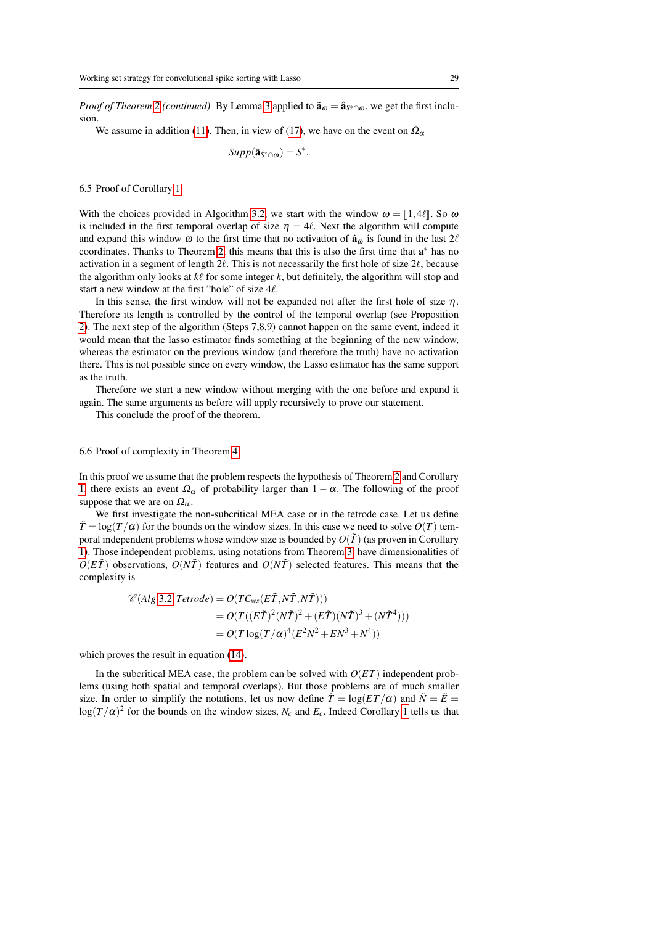*Proof of Theorem* [2](#page-16-3) *(continued)* By Lemma [3](#page-26-1) applied to  $\tilde{\mathbf{a}}_{\omega} = \hat{\mathbf{a}}_{S^* \cap \omega}$ , we get the first inclusion.

We assume in addition [\(11\)](#page-16-2). Then, in view of [\(17\)](#page-26-0), we have on the event on  $\Omega_{\alpha}$ 

 $Supp(\hat{\mathbf{a}}_{S^*\cap\omega})=S^*$ .

6.5 Proof of Corollary [1](#page-17-0)

With the choices provided in Algorithm [3.2,](#page-11-1) we start with the window  $\omega = [1, 4\ell]$ . So  $\omega$ is included in the first temporal overlap of size  $\eta = 4\ell$ . Next the algorithm will compute and expand this window  $\omega$  to the first time that no activation of  $\hat{a}_{\omega}$  is found in the last  $2\ell$ coordinates. Thanks to Theorem [2,](#page-16-3) this means that this is also the first time that  $a^*$  has no activation in a segment of length  $2\ell$ . This is not necessarily the first hole of size  $2\ell$ , because the algorithm only looks at  $k\ell$  for some integer  $k$ , but definitely, the algorithm will stop and start a new window at the first "hole" of size  $4\ell$ .

In this sense, the first window will not be expanded not after the first hole of size  $\eta$ . Therefore its length is controlled by the control of the temporal overlap (see Proposition [2\)](#page-15-0). The next step of the algorithm (Steps 7,8,9) cannot happen on the same event, indeed it would mean that the lasso estimator finds something at the beginning of the new window, whereas the estimator on the previous window (and therefore the truth) have no activation there. This is not possible since on every window, the Lasso estimator has the same support as the truth.

Therefore we start a new window without merging with the one before and expand it again. The same arguments as before will apply recursively to prove our statement.

This conclude the proof of the theorem.

#### 6.6 Proof of complexity in Theorem [4](#page-18-2)

In this proof we assume that the problem respects the hypothesis of Theorem [2](#page-16-3) and Corollary [1,](#page-17-0) there exists an event  $\Omega_{\alpha}$  of probability larger than  $1 - \alpha$ . The following of the proof suppose that we are on  $\Omega_{\alpha}$ .

We first investigate the non-subcritical MEA case or in the tetrode case. Let us define  $\tilde{T} = \log(T/\alpha)$  for the bounds on the window sizes. In this case we need to solve  $O(T)$  temporal independent problems whose window size is bounded by  $O(\tilde{T})$  (as proven in Corollary [1\)](#page-17-0). Those independent problems, using notations from Theorem [3,](#page-18-0) have dimensionalities of  $O(E\tilde{T})$  observations,  $O(N\tilde{T})$  features and  $O(N\tilde{T})$  selected features. This means that the complexity is

$$
\mathcal{C}(Alg.3.2, Tetrode) = O(TC_{ws}(E\tilde{T}, N\tilde{T}, N\tilde{T})))
$$
  
= 
$$
O(T((E\tilde{T})^2(N\tilde{T})^2 + (E\tilde{T})(N\tilde{T})^3 + (N\tilde{T}^4)))
$$
  
= 
$$
O(T \log(T/\alpha)^4 (E^2N^2 + EN^3 + N^4))
$$

which proves the result in equation  $(14)$ .

In the subcritical MEA case, the problem can be solved with  $O(ET)$  independent problems (using both spatial and temporal overlaps). But those problems are of much smaller size. In order to simplify the notations, let us now define  $\tilde{T} = \log(ET/\alpha)$  and  $\tilde{N} = \tilde{E}$  $log(T/\alpha)^2$  for the bounds on the window sizes,  $N_c$  and  $E_c$ . Indeed Corollary [1](#page-17-0) tells us that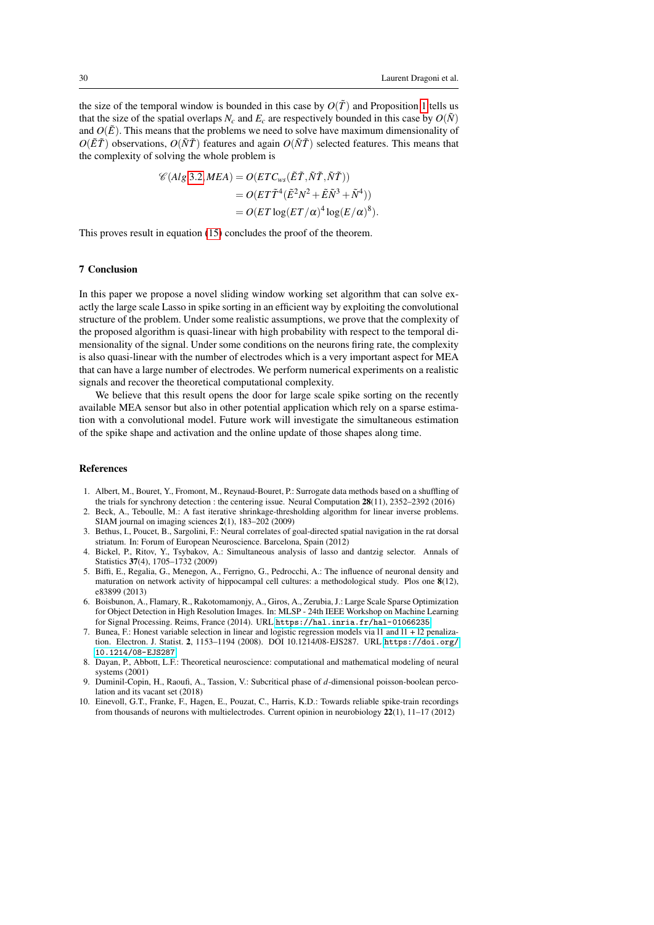the size of the temporal window is bounded in this case by  $O(\tilde{T})$  and Proposition [1](#page-14-2) tells us that the size of the spatial overlaps  $N_c$  and  $E_c$  are respectively bounded in this case by  $O(N)$ and  $O(\tilde{E})$ . This means that the problems we need to solve have maximum dimensionality of  $O(\tilde{E}\tilde{T})$  observations,  $O(\tilde{N}\tilde{T})$  features and again  $O(\tilde{N}\tilde{T})$  selected features. This means that the complexity of solving the whole problem is

$$
\mathcal{C}(Alg.3.2, MEA) = O(ETC_{ws}(\tilde{E}\tilde{T}, \tilde{N}\tilde{T}, \tilde{N}\tilde{T}))
$$
  
=  $O(ET\tilde{T}^4(\tilde{E}^2N^2 + \tilde{E}\tilde{N}^3 + \tilde{N}^4))$   
=  $O(ET\log(ET/\alpha)^4 \log(E/\alpha)^8).$ 

This proves result in equation [\(15\)](#page-19-1) concludes the proof of the theorem.

# 7 Conclusion

In this paper we propose a novel sliding window working set algorithm that can solve exactly the large scale Lasso in spike sorting in an efficient way by exploiting the convolutional structure of the problem. Under some realistic assumptions, we prove that the complexity of the proposed algorithm is quasi-linear with high probability with respect to the temporal dimensionality of the signal. Under some conditions on the neurons firing rate, the complexity is also quasi-linear with the number of electrodes which is a very important aspect for MEA that can have a large number of electrodes. We perform numerical experiments on a realistic signals and recover the theoretical computational complexity.

We believe that this result opens the door for large scale spike sorting on the recently available MEA sensor but also in other potential application which rely on a sparse estimation with a convolutional model. Future work will investigate the simultaneous estimation of the spike shape and activation and the online update of those shapes along time.

#### References

- <span id="page-29-0"></span>1. Albert, M., Bouret, Y., Fromont, M., Reynaud-Bouret, P.: Surrogate data methods based on a shuffling of the trials for synchrony detection : the centering issue. Neural Computation 28(11), 2352–2392 (2016)
- <span id="page-29-8"></span>Beck, A., Teboulle, M.: A fast iterative shrinkage-thresholding algorithm for linear inverse problems. SIAM journal on imaging sciences 2(1), 183–202 (2009)
- <span id="page-29-9"></span>3. Bethus, I., Poucet, B., Sargolini, F.: Neural correlates of goal-directed spatial navigation in the rat dorsal striatum. In: Forum of European Neuroscience. Barcelona, Spain (2012)
- <span id="page-29-2"></span>4. Bickel, P., Ritov, Y., Tsybakov, A.: Simultaneous analysis of lasso and dantzig selector. Annals of Statistics 37(4), 1705–1732 (2009)
- <span id="page-29-6"></span>5. Biffi, E., Regalia, G., Menegon, A., Ferrigno, G., Pedrocchi, A.: The influence of neuronal density and maturation on network activity of hippocampal cell cultures: a methodological study. Plos one 8(12), e83899 (2013)
- <span id="page-29-4"></span>6. Boisbunon, A., Flamary, R., Rakotomamonjy, A., Giros, A., Zerubia, J.: Large Scale Sparse Optimization for Object Detection in High Resolution Images. In: MLSP - 24th IEEE Workshop on Machine Learning for Signal Processing. Reims, France (2014). URL <https://hal.inria.fr/hal-01066235>
- <span id="page-29-3"></span>7. Bunea, F.: Honest variable selection in linear and logistic regression models via l1 and l1 + l2 penalization. Electron. J. Statist. 2, 1153–1194 (2008). DOI 10.1214/08-EJS287. URL [https://doi.org/](https://doi.org/10.1214/08-EJS287) [10.1214/08-EJS287](https://doi.org/10.1214/08-EJS287)
- <span id="page-29-5"></span>8. Dayan, P., Abbott, L.F.: Theoretical neuroscience: computational and mathematical modeling of neural systems (2001)
- <span id="page-29-7"></span>9. Duminil-Copin, H., Raoufi, A., Tassion, V.: Subcritical phase of *d*-dimensional poisson-boolean percolation and its vacant set (2018)
- <span id="page-29-1"></span>10. Einevoll, G.T., Franke, F., Hagen, E., Pouzat, C., Harris, K.D.: Towards reliable spike-train recordings from thousands of neurons with multielectrodes. Current opinion in neurobiology 22(1), 11–17 (2012)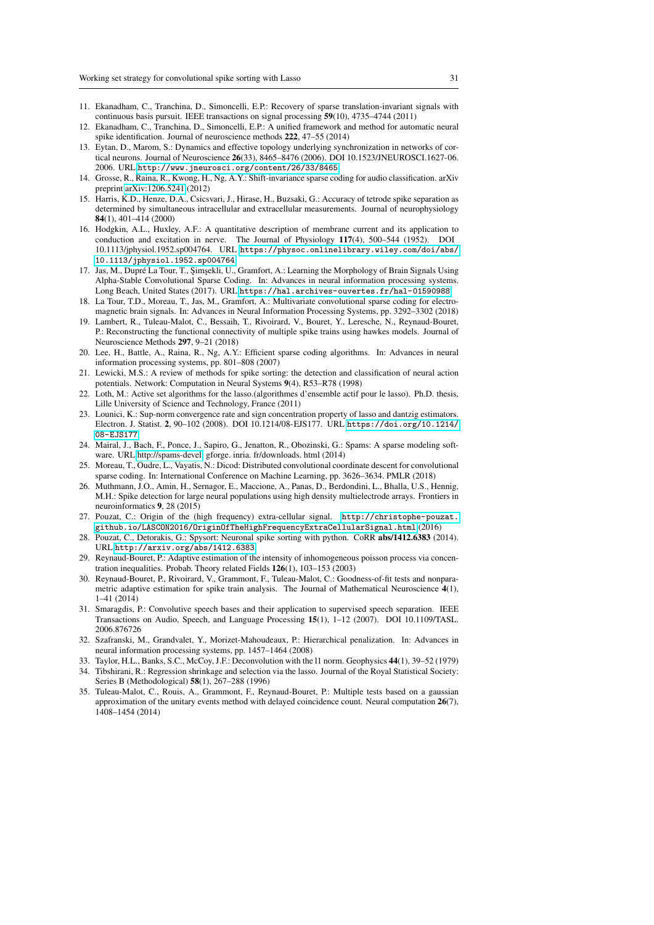- <span id="page-30-3"></span>11. Ekanadham, C., Tranchina, D., Simoncelli, E.P.: Recovery of sparse translation-invariant signals with continuous basis pursuit. IEEE transactions on signal processing 59(10), 4735–4744 (2011)
- <span id="page-30-4"></span>12. Ekanadham, C., Tranchina, D., Simoncelli, E.P.: A unified framework and method for automatic neural spike identification. Journal of neuroscience methods 222, 47–55 (2014)
- <span id="page-30-1"></span>13. Eytan, D., Marom, S.: Dynamics and effective topology underlying synchronization in networks of cortical neurons. Journal of Neuroscience 26(33), 8465–8476 (2006). DOI 10.1523/JNEUROSCI.1627-06. 2006. URL <http://www.jneurosci.org/content/26/33/8465>
- <span id="page-30-12"></span>14. Grosse, R., Raina, R., Kwong, H., Ng, A.Y.: Shift-invariance sparse coding for audio classification. arXiv preprint [arXiv:1206.5241](http://arxiv.org/abs/1206.5241) (2012)
- <span id="page-30-6"></span>15. Harris, K.D., Henze, D.A., Csicsvari, J., Hirase, H., Buzsaki, G.: Accuracy of tetrode spike separation as determined by simultaneous intracellular and extracellular measurements. Journal of neurophysiology 84(1), 401–414 (2000)
- <span id="page-30-23"></span>16. Hodgkin, A.L., Huxley, A.F.: A quantitative description of membrane current and its application to conduction and excitation in nerve. The Journal of Physiology 117(4), 500–544 (1952). DOI 10.1113/jphysiol.1952.sp004764. URL [https://physoc.onlinelibrary.wiley.com/doi/abs/](https://physoc.onlinelibrary.wiley.com/doi/abs/10.1113/jphysiol.1952.sp004764) [10.1113/jphysiol.1952.sp004764](https://physoc.onlinelibrary.wiley.com/doi/abs/10.1113/jphysiol.1952.sp004764)
- <span id="page-30-14"></span>17. Jas, M., Dupré La Tour, T., Şimşekli, U., Gramfort, A.: Learning the Morphology of Brain Signals Using Alpha-Stable Convolutional Sparse Coding. In: Advances in neural information processing systems. Long Beach, United States (2017). URL <https://hal.archives-ouvertes.fr/hal-01590988>
- <span id="page-30-15"></span>18. La Tour, T.D., Moreau, T., Jas, M., Gramfort, A.: Multivariate convolutional sparse coding for electromagnetic brain signals. In: Advances in Neural Information Processing Systems, pp. 3292–3302 (2018)
- <span id="page-30-0"></span>19. Lambert, R., Tuleau-Malot, C., Bessaih, T., Rivoirard, V., Bouret, Y., Leresche, N., Reynaud-Bouret, P.: Reconstructing the functional connectivity of multiple spike trains using hawkes models. Journal of Neuroscience Methods 297, 9–21 (2018)
- <span id="page-30-11"></span>20. Lee, H., Battle, A., Raina, R., Ng, A.Y.: Efficient sparse coding algorithms. In: Advances in neural information processing systems, pp. 801–808 (2007)
- <span id="page-30-2"></span>21. Lewicki, M.S.: A review of methods for spike sorting: the detection and classification of neural action potentials. Network: Computation in Neural Systems 9(4), R53–R78 (1998)
- <span id="page-30-21"></span>22. Loth, M.: Active set algorithms for the lasso.(algorithmes d'ensemble actif pour le lasso). Ph.D. thesis, Lille University of Science and Technology, France (2011)
- <span id="page-30-10"></span>23. Lounici, K.: Sup-norm convergence rate and sign concentration property of lasso and dantzig estimators. Electron. J. Statist. 2, 90–102 (2008). DOI 10.1214/08-EJS177. URL [https://doi.org/10.1214/](https://doi.org/10.1214/08-EJS177) [08-EJS177](https://doi.org/10.1214/08-EJS177)
- <span id="page-30-22"></span>24. Mairal, J., Bach, F., Ponce, J., Sapiro, G., Jenatton, R., Obozinski, G.: Spams: A sparse modeling software. URL [http://spams-devel.](http://spams-devel) gforge. inria. fr/downloads. html (2014)
- <span id="page-30-13"></span>25. Moreau, T., Oudre, L., Vayatis, N.: Dicod: Distributed convolutional coordinate descent for convolutional sparse coding. In: International Conference on Machine Learning, pp. 3626–3634. PMLR (2018)
- <span id="page-30-18"></span>26. Muthmann, J.O., Amin, H., Sernagor, E., Maccione, A., Panas, D., Berdondini, L., Bhalla, U.S., Hennig, M.H.: Spike detection for large neural populations using high density multielectrode arrays. Frontiers in neuroinformatics 9, 28 (2015)
- <span id="page-30-17"></span>27. Pouzat, C.: Origin of the (high frequency) extra-cellular signal. [http://christophe-pouzat.](http://christophe-pouzat.github.io/LASCON2016/OriginOfTheHighFrequencyExtraCellularSignal.html) [github.io/LASCON2016/OriginOfTheHighFrequencyExtraCellularSignal.html](http://christophe-pouzat.github.io/LASCON2016/OriginOfTheHighFrequencyExtraCellularSignal.html) (2016)
- <span id="page-30-5"></span>28. Pouzat, C., Detorakis, G.: Spysort: Neuronal spike sorting with python. CoRR abs/1412.6383 (2014). URL <http://arxiv.org/abs/1412.6383>
- <span id="page-30-24"></span>29. Reynaud-Bouret, P.: Adaptive estimation of the intensity of inhomogeneous poisson process via concentration inequalities. Probab. Theory related Fields 126(1), 103–153 (2003)
- <span id="page-30-20"></span>30. Reynaud-Bouret, P., Rivoirard, V., Grammont, F., Tuleau-Malot, C.: Goodness-of-fit tests and nonparametric adaptive estimation for spike train analysis. The Journal of Mathematical Neuroscience 4(1), 1–41 (2014)
- <span id="page-30-8"></span>31. Smaragdis, P.: Convolutive speech bases and their application to supervised speech separation. IEEE Transactions on Audio, Speech, and Language Processing 15(1), 1–12 (2007). DOI 10.1109/TASL. 2006.876726
- <span id="page-30-16"></span>32. Szafranski, M., Grandvalet, Y., Morizet-Mahoudeaux, P.: Hierarchical penalization. In: Advances in neural information processing systems, pp. 1457–1464 (2008)
- <span id="page-30-7"></span>33. Taylor, H.L., Banks, S.C., McCoy, J.F.: Deconvolution with the l1 norm. Geophysics 44(1), 39–52 (1979)
- <span id="page-30-9"></span>34. Tibshirani, R.: Regression shrinkage and selection via the lasso. Journal of the Royal Statistical Society: Series B (Methodological) 58(1), 267–288 (1996)
- <span id="page-30-19"></span>35. Tuleau-Malot, C., Rouis, A., Grammont, F., Reynaud-Bouret, P.: Multiple tests based on a gaussian approximation of the unitary events method with delayed coincidence count. Neural computation 26(7), 1408–1454 (2014)